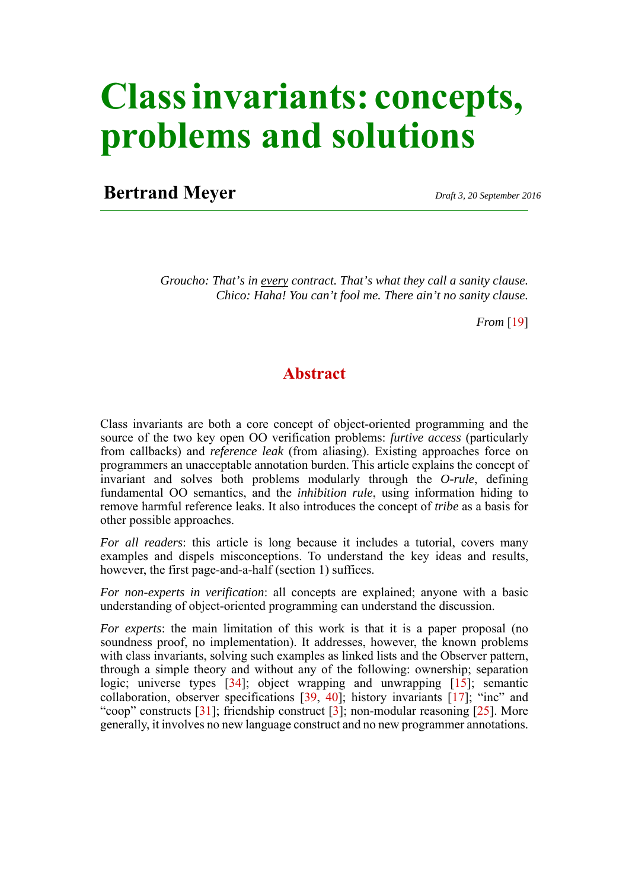# **Class invariants: concepts, problems and solutions**

# **Bertrand Meyer** *Draft 3, 20 September 2016*

*Groucho: That's in every contract. That's what they call a sanity clause. Chico: Haha! You can't fool me. There ain't no sanity clause.*

*From* [\[19](#page-39-0)]

# **Abstract**

Class invariants are both a core concept of object-oriented programming and the source of the two key open OO verification problems: *furtive access* (particularly from callbacks) and *reference leak* (from aliasing). Existing approaches force on programmers an unacceptable annotation burden. This article explains the concept of invariant and solves both problems modularly through the *O-rule*, defining fundamental OO semantics, and the *inhibition rule*, using information hiding to remove harmful reference leaks. It also introduces the concept of *tribe* as a basis for other possible approaches.

*For all readers*: this article is long because it includes a tutorial, covers many examples and dispels misconceptions. To understand the key ideas and results, however, the first page-and-a-half (section 1) suffices.

*For non-experts in verification*: all concepts are explained; anyone with a basic understanding of object-oriented programming can understand the discussion.

*For experts*: the main limitation of this work is that it is a paper proposal (no soundness proof, no implementation). It addresses, however, the known problems with class invariants, solving such examples as linked lists and the Observer pattern, through a simple theory and without any of the following: ownership; separation logic; universe types [[34\]](#page-40-0); object wrapping and unwrapping [\[15](#page-39-1)]; semantic collaboration, observer specifications [\[39](#page-40-1), [40](#page-40-2)]; history invariants [[17\]](#page-39-2); "inc" and "coop" constructs [[31\]](#page-40-3); friendship construct [\[3](#page-38-0)]; non-modular reasoning [[25\]](#page-39-3). More generally, it involves no new language construct and no new programmer annotations.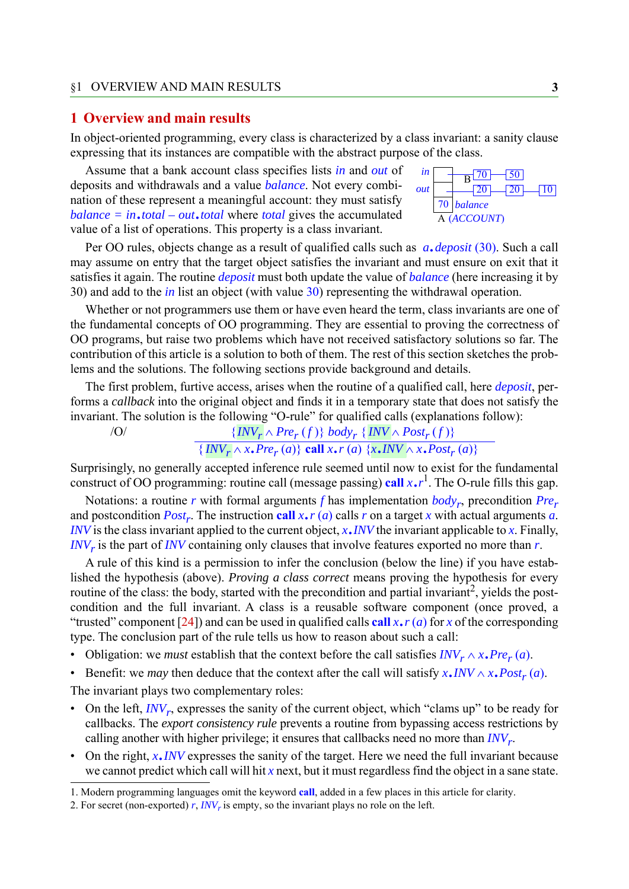#### <span id="page-2-0"></span>**1 Overview and main results**

In object-oriented programming, every class is characterized by a class invariant: a sanity clause expressing that its instances are compatible with the abstract purpose of the class.

Assume that a bank account class specifies lists *in* and *out* of deposits and withdrawals and a value *balance*. Not every combination of these represent a meaningful account: they must satisfy *balance = in*.*total – out*.*total* where *total* gives the accumulated value of a list of operations. This property is a class invariant.

70  $\frac{\sin \theta}{\theta}$  70  $\frac{\sqrt{50}}{50}$ *out balance* (*ACCOUNT*) A B  $-10$ 

Per OO rules, objects change as a result of qualified calls such as *a*.*deposit* (30). Such a call may assume on entry that the target object satisfies the invariant and must ensure on exit that it satisfies it again. The routine *deposit* must both update the value of *balance* (here increasing it by 30) and add to the *in* list an object (with value 30) representing the withdrawal operation.

Whether or not programmers use them or have even heard the term, class invariants are one of the fundamental concepts of OO programming. They are essential to proving the correctness of OO programs, but raise two problems which have not received satisfactory solutions so far. The contribution of this article is a solution to both of them. The rest of this section sketches the problems and the solutions. The following sections provide background and details.

The first problem, furtive access, arises when the routine of a qualified call, here *deposit*, performs a *callback* into the original object and finds it in a temporary state that does not satisfy the invariant. The solution is the following "O-rule" for qualified calls (explanations follow):

```
\{INV_r \wedge Pre_r(f)\} body<sub>r</sub> \{INV_r \wedge Post_r(f)\}
```
 $\overline{\{INV_{r} \wedge x.\text{Pre}_r(a)\}}$  **call**  $x \cdot r(a) \{x.\text{INV} \wedge x.\text{Post}_r(a)\}$ 

Surprisingly, no generally accepted inference rule seemed until now to exist for the fundamental construct of OO programming: routine call (message passing) **call** *x*.*<sup>r</sup>* 1 . The O-rule fills this gap.

Notations: a routine *r* with formal arguments *f* has implementation *bodyr*, precondition *Prer* and postcondition  $Post_r$ . The instruction **call**  $x \cdot r$  (*a*) calls *r* on a target *x* with actual arguments *a*. *INV* is the class invariant applied to the current object, *x*.*INV* the invariant applicable to *x*. Finally,  $I/V_r$  is the part of *INV* containing only clauses that involve features exported no more than  $r$ .

A rule of this kind is a permission to infer the conclusion (below the line) if you have established the hypothesis (above). *Proving a class correct* means proving the hypothesis for every routine of the class: the body, started with the precondition and partial invariant<sup>2</sup>, yields the postcondition and the full invariant. A class is a reusable software component (once proved, a "trusted" component [[24\]](#page-39-4)) and can be used in qualified calls call  $x \cdot r$  (*a*) for *x* of the corresponding type. The conclusion part of the rule tells us how to reason about such a call:

- Obligation: we *must* establish that the context before the call satisfies  $INV_r \wedge x$ .  $Pre_r(a)$ .
- Benefit: we *may* then deduce that the context after the call will satisfy  $x \cdot \textit{INV} \wedge x \cdot \textit{Post}_r(a)$ .

The invariant plays two complementary roles:

- On the left, *INV<sub>r</sub>*, expresses the sanity of the current object, which "clams up" to be ready for callbacks. The *export consistency rule* prevents a routine from bypassing access restrictions by calling another with higher privilege; it ensures that callbacks need no more than *INVr*.
- On the right, *x*.*INV* expresses the sanity of the target. Here we need the full invariant because we cannot predict which call will hit  $x$  next, but it must regardless find the object in a sane state.

1. Modern programming languages omit the keyword **call**, added in a few places in this article for clarity.

<sup>2.</sup> For secret (non-exported)  $r$ , *INV<sub>r</sub>* is empty, so the invariant plays no role on the left.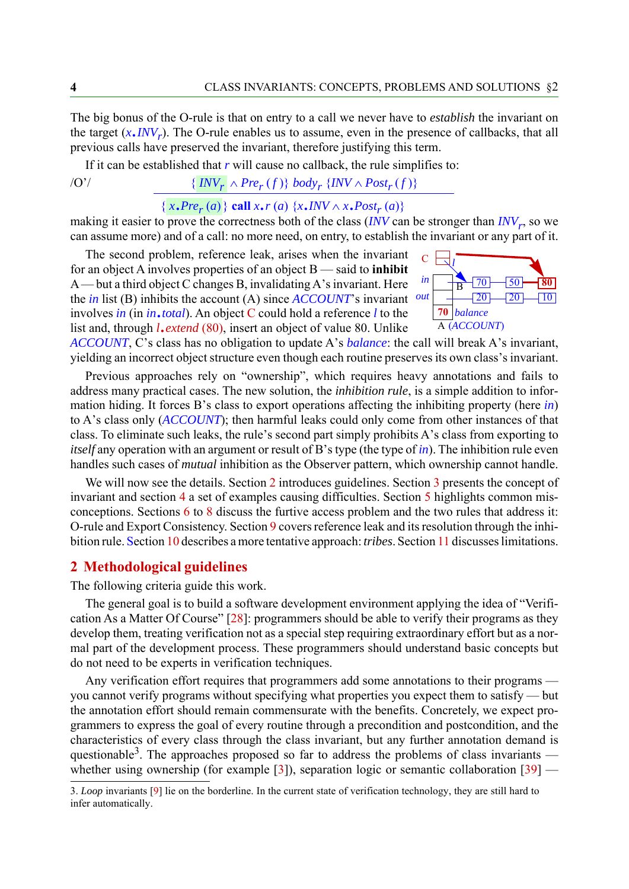The big bonus of the O-rule is that on entry to a call we never have to *establish* the invariant on the target  $(x, \text{INV}_r)$ . The O-rule enables us to assume, even in the presence of callbacks, that all previous calls have preserved the invariant, therefore justifying this term.

If it can be established that  $r$  will cause no callback, the rule simplifies to:

# $\{INV_r \wedge Pre_r(f)\}$  *body<sub>r</sub>*  $\{INV_r \wedge Post_r(f)\}$

# ${x, Pre<sub>r</sub>(a)}$   ${call x, r(a) {x, \textit{INV} \land x, \textit{Post}_{r}(a)}$

making it easier to prove the correctness both of the class (*INV* can be stronger than *INV<sub>r</sub>*, so we can assume more) and of a call: no more need, on entry, to establish the invariant or any part of it.

The second problem, reference leak, arises when the invariant for an object A involves properties of an object B — said to **inhibit** A — but a third object C changes B, invalidating A's invariant. Here the *in* list (B) inhibits the account (A) since *ACCOUNT*'s invariant involves *in* (in *in*.*total*). An object C could hold a reference *l* to the list and, through *l*.*extend* (80), insert an object of value 80. Unlike



*ACCOUNT*, C's class has no obligation to update A's *balance*: the call will break A's invariant, yielding an incorrect object structure even though each routine preserves its own class's invariant.

Previous approaches rely on "ownership", which requires heavy annotations and fails to address many practical cases. The new solution, the *inhibition rule*, is a simple addition to information hiding. It forces B's class to export operations affecting the inhibiting property (here *in*) to A's class only (*ACCOUNT*); then harmful leaks could only come from other instances of that class. To eliminate such leaks, the rule's second part simply prohibits A's class from exporting to *itself* any operation with an argument or result of B's type (the type of *in*). The inhibition rule even handles such cases of *mutual* inhibition as the Observer pattern, which ownership cannot handle.

We will now see the details. Section [2](#page-3-0) introduces guidelines. Section [3](#page-4-0) presents the concept of invariant and section [4](#page-8-0) a set of examples causing difficulties. Section [5](#page-15-0) highlights common misconceptions. Sections [6](#page-16-0) to [8](#page-27-0) discuss the furtive access problem and the two rules that address it: O-rule and Export Consistency. Section [9](#page-28-0) covers reference leak and its resolution through the inhibition rule. Section [10](#page-36-0) describes a more tentative approach: *tribes*. Section [11](#page-37-0) discusses limitations.

#### <span id="page-3-0"></span>**2 Methodological guidelines**

The following criteria guide this work.

The general goal is to build a software development environment applying the idea of "Verification As a Matter Of Course" [\[28](#page-40-4)]: programmers should be able to verify their programs as they develop them, treating verification not as a special step requiring extraordinary effort but as a normal part of the development process. These programmers should understand basic concepts but do not need to be experts in verification techniques.

Any verification effort requires that programmers add some annotations to their programs you cannot verify programs without specifying what properties you expect them to satisfy — but the annotation effort should remain commensurate with the benefits. Concretely, we expect programmers to express the goal of every routine through a precondition and postcondition, and the characteristics of every class through the class invariant, but any further annotation demand is questionable<sup>3</sup>. The approaches proposed so far to address the problems of class invariants whether using ownership (for example  $[3]$  $[3]$ ), separation logic or semantic collaboration  $[39]$  $[39]$  —

<sup>3.</sup> *Loop* invariants [\[9](#page-39-5)] lie on the borderline. In the current state of verification technology, they are still hard to infer automatically.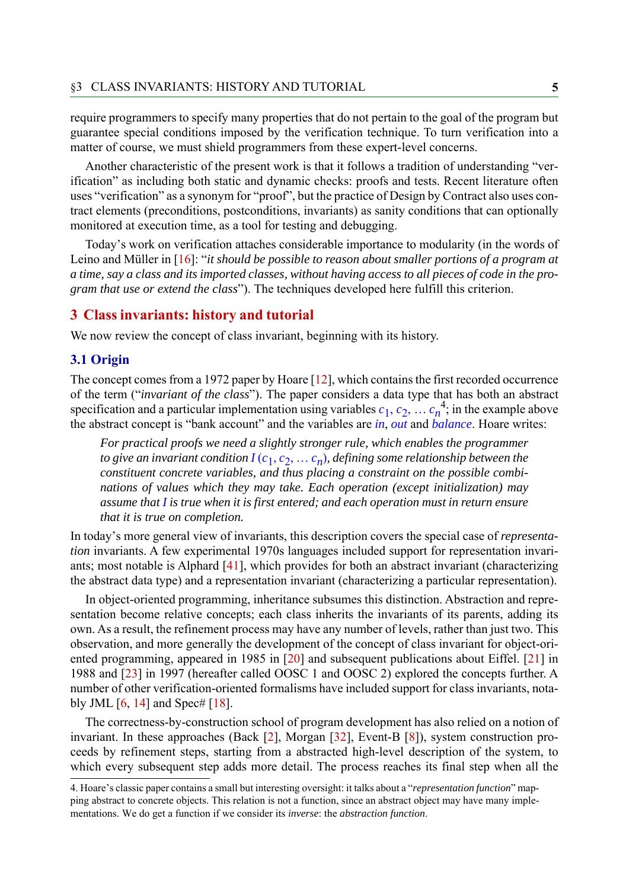require programmers to specify many properties that do not pertain to the goal of the program but guarantee special conditions imposed by the verification technique. To turn verification into a matter of course, we must shield programmers from these expert-level concerns.

Another characteristic of the present work is that it follows a tradition of understanding "verification" as including both static and dynamic checks: proofs and tests. Recent literature often uses "verification" as a synonym for "proof", but the practice of Design by Contract also uses contract elements (preconditions, postconditions, invariants) as sanity conditions that can optionally monitored at execution time, as a tool for testing and debugging.

Today's work on verification attaches considerable importance to modularity (in the words of Leino and Müller in [[16\]](#page-39-6): "*it should be possible to reason about smaller portions of a program at a time, say a class and its imported classes, without having access to all pieces of code in the program that use or extend the class*"). The techniques developed here fulfill this criterion.

#### <span id="page-4-0"></span>**3 Class invariants: history and tutorial**

We now review the concept of class invariant, beginning with its history.

#### **3.1 Origin**

The concept comes from a 1972 paper by Hoare [\[12](#page-39-7)], which contains the first recorded occurrence of the term ("*invariant of the class*"). The paper considers a data type that has both an abstract specification and a particular implementation using variables  $c_1, c_2, \ldots c_n^4$ ; in the example above the abstract concept is "bank account" and the variables are *in*, *out* and *balance*. Hoare writes:

*For practical proofs we need a slightly stronger rule, which enables the programmer to give an invariant condition*  $I(c_1, c_2, \ldots c_n)$ *, defining some relationship between the constituent concrete variables, and thus placing a constraint on the possible combinations of values which they may take. Each operation (except initialization) may assume that I is true when it is first entered; and each operation must in return ensure that it is true on completion.*

In today's more general view of invariants, this description covers the special case of *representation* invariants. A few experimental 1970s languages included support for representation invariants; most notable is Alphard [[41\]](#page-40-5), which provides for both an abstract invariant (characterizing the abstract data type) and a representation invariant (characterizing a particular representation).

In object-oriented programming, inheritance subsumes this distinction. Abstraction and representation become relative concepts; each class inherits the invariants of its parents, adding its own. As a result, the refinement process may have any number of levels, rather than just two. This observation, and more generally the development of the concept of class invariant for object-oriented programming, appeared in 1985 in [\[20](#page-39-8)] and subsequent publications about Eiffel. [[21\]](#page-39-9) in 1988 and [[23\]](#page-39-10) in 1997 (hereafter called OOSC 1 and OOSC 2) explored the concepts further. A number of other verification-oriented formalisms have included support for class invariants, notably JML  $[6, 14]$  $[6, 14]$  $[6, 14]$  $[6, 14]$  and Spec#  $[18]$  $[18]$ .

The correctness-by-construction school of program development has also relied on a notion of invariant. In these approaches (Back [\[2](#page-38-2)], Morgan [\[32](#page-40-6)], Event-B [\[8](#page-38-3)]), system construction proceeds by refinement steps, starting from a abstracted high-level description of the system, to which every subsequent step adds more detail. The process reaches its final step when all the

<sup>4.</sup> Hoare's classic paper contains a small but interesting oversight: it talks about a "*representation function*" mapping abstract to concrete objects. This relation is not a function, since an abstract object may have many implementations. We do get a function if we consider its *inverse*: the *abstraction function*.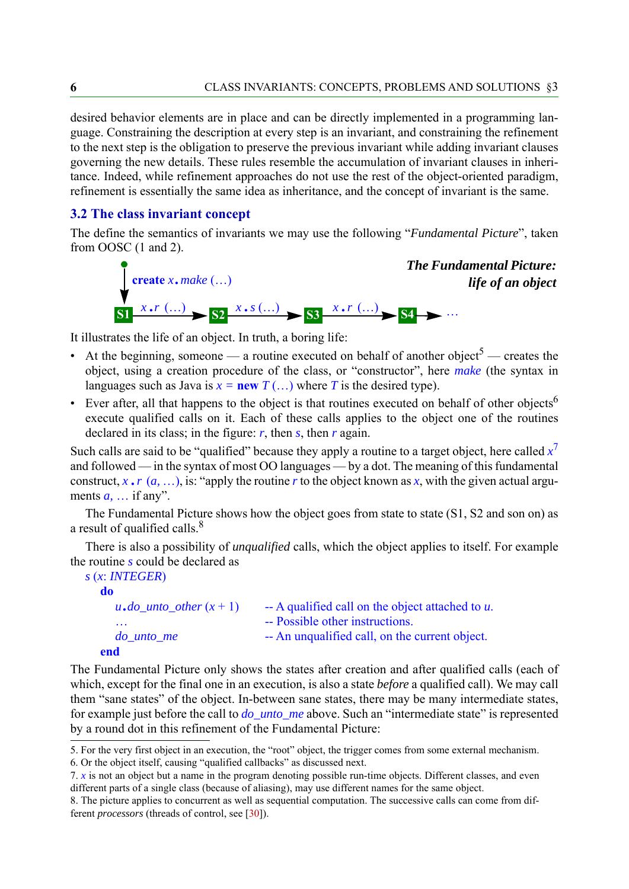desired behavior elements are in place and can be directly implemented in a programming language. Constraining the description at every step is an invariant, and constraining the refinement to the next step is the obligation to preserve the previous invariant while adding invariant clauses governing the new details. These rules resemble the accumulation of invariant clauses in inheritance. Indeed, while refinement approaches do not use the rest of the object-oriented paradigm, refinement is essentially the same idea as inheritance, and the concept of invariant is the same.

# <span id="page-5-1"></span>**3.2 The class invariant concept**

The define the semantics of invariants we may use the following "*Fundamental Picture*", taken from OOSC (1 and 2).

<span id="page-5-0"></span>

It illustrates the life of an object. In truth, a boring life:

- At the beginning, someone a routine executed on behalf of another object<sup>5</sup> creates the object, using a creation procedure of the class, or "constructor", here *make* (the syntax in languages such as Java is  $x = new T$  (...) where *T* is the desired type).
- Ever after, all that happens to the object is that routines executed on behalf of other objects<sup>6</sup> execute qualified calls on it. Each of these calls applies to the object one of the routines declared in its class; in the figure:  $r$ , then  $s$ , then  $r$  again.

Such calls are said to be "qualified" because they apply a routine to a target object, here called  $x^7$ and followed — in the syntax of most OO languages — by a dot. The meaning of this fundamental construct,  $x \cdot r$  ( $a$ , ...), is: "apply the routine  $r$  to the object known as  $x$ , with the given actual arguments  $a$ ,  $\ldots$  if any".

The Fundamental Picture shows how the object goes from state to state (S1, S2 and son on) as a result of qualified calls.<sup>8</sup>

There is also a possibility of *unqualified* calls, which the object applies to itself. For example the routine *s* could be declared as

```
s (x: INTEGER)
  do
     u \cdot do\_unto\_other(x + 1) -- A qualified call on the object attached to u.
                                -- Possible other instructions.
     do_unto_me -- An unqualified call, on the current object.
```

```
end
```
The Fundamental Picture only shows the states after creation and after qualified calls (each of which, except for the final one in an execution, is also a state *before* a qualified call). We may call them "sane states" of the object. In-between sane states, there may be many intermediate states, for example just before the call to *do\_unto\_me* above. Such an "intermediate state" is represented by a round dot in this refinement of the Fundamental Picture:

<sup>5.</sup> For the very first object in an execution, the "root" object, the trigger comes from some external mechanism.

<sup>6.</sup> Or the object itself, causing "qualified callbacks" as discussed next.

<sup>7.</sup> *x* is not an object but a name in the program denoting possible run-time objects. Different classes, and even different parts of a single class (because of aliasing), may use different names for the same object.

<sup>8.</sup> The picture applies to concurrent as well as sequential computation. The successive calls can come from different *processors* (threads of control, see [[30\]](#page-40-7)).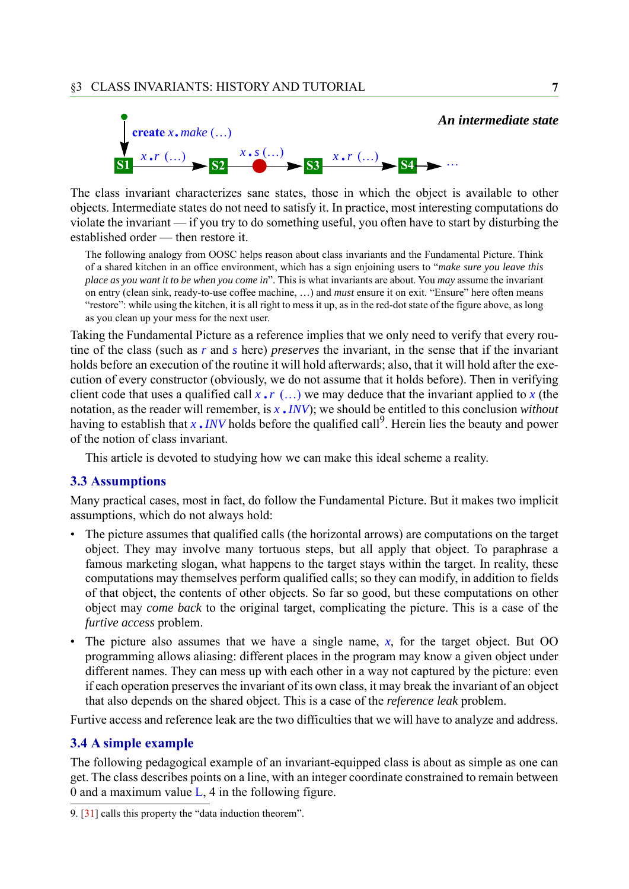

The class invariant characterizes sane states, those in which the object is available to other objects. Intermediate states do not need to satisfy it. In practice, most interesting computations do violate the invariant — if you try to do something useful, you often have to start by disturbing the established order — then restore it.

The following analogy from OOSC helps reason about class invariants and the Fundamental Picture. Think of a shared kitchen in an office environment, which has a sign enjoining users to "*make sure you leave this place as you want it to be when you come in*". This is what invariants are about. You *may* assume the invariant on entry (clean sink, ready-to-use coffee machine, ...) and *must* ensure it on exit. "Ensure" here often means "restore": while using the kitchen, it is all right to mess it up, as in the red-dot state of the figure above, as long as you clean up your mess for the next user.

Taking the Fundamental Picture as a reference implies that we only need to verify that every routine of the class (such as *r* and *s* here) *preserves* the invariant, in the sense that if the invariant holds before an execution of the routine it will hold afterwards; also, that it will hold after the execution of every constructor (obviously, we do not assume that it holds before). Then in verifying client code that uses a qualified call  $x \cdot r$  (...) we may deduce that the invariant applied to  $x$  (the notation, as the reader will remember, is *<sup>x</sup>* .*INV*); we should be entitled to this conclusion *without* hotation, as the reader will relief the equality of the should be entitled to this conclusion *without* having to establish that *x* . *INV* holds before the qualified call<sup>9</sup>. Herein lies the beauty and power of the notion of class invariant.

This article is devoted to studying how we can make this ideal scheme a reality.

#### **3.3 Assumptions**

Many practical cases, most in fact, do follow the Fundamental Picture. But it makes two implicit assumptions, which do not always hold:

- The picture assumes that qualified calls (the horizontal arrows) are computations on the target object. They may involve many tortuous steps, but all apply that object. To paraphrase a famous marketing slogan, what happens to the target stays within the target. In reality, these computations may themselves perform qualified calls; so they can modify, in addition to fields of that object, the contents of other objects. So far so good, but these computations on other object may *come back* to the original target, complicating the picture. This is a case of the *furtive access* problem.
- The picture also assumes that we have a single name, *x*, for the target object. But OO programming allows aliasing: different places in the program may know a given object under different names. They can mess up with each other in a way not captured by the picture: even if each operation preserves the invariant of its own class, it may break the invariant of an object that also depends on the shared object. This is a case of the *reference leak* problem.

Furtive access and reference leak are the two difficulties that we will have to analyze and address.

#### **3.4 A simple example**

The following pedagogical example of an invariant-equipped class is about as simple as one can get. The class describes points on a line, with an integer coordinate constrained to remain between 0 and a maximum value  $L$ , 4 in the following figure.

9. [[31\]](#page-40-3) calls this property the "data induction theorem".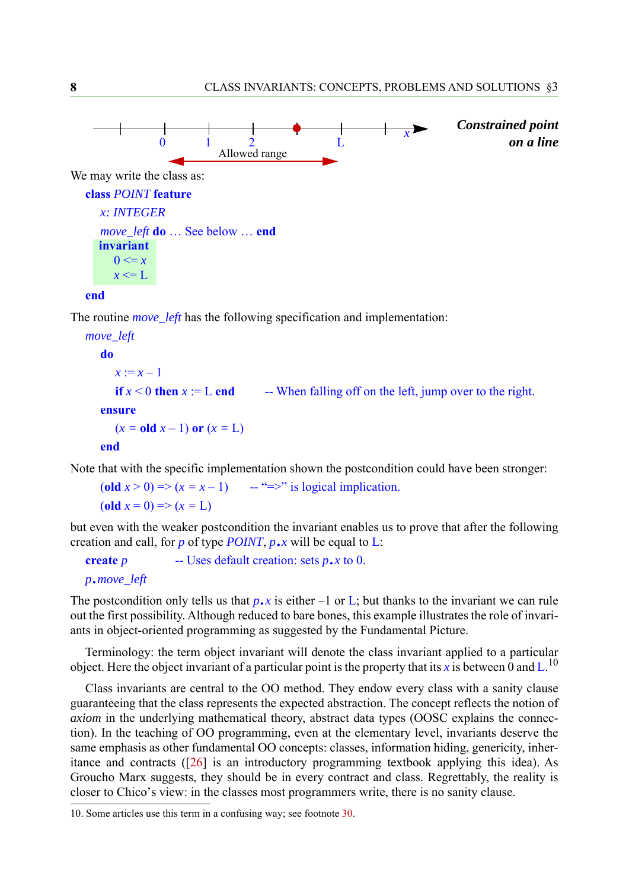

<span id="page-7-0"></span>The routine *move\_left* has the following specification and implementation:

```
move_left
  do
     x := x - 1if x < 0 then x := L end -- When falling off on the left, jump over to the right.
  ensure
     (x = oldx - 1) or (x = L)end
```
Note that with the specific implementation shown the postcondition could have been stronger:

(old  $x > 0$ ) =>  $(x = x - 1)$  -- "=>" is logical implication. (**old** *x* = 0) => (*x =* L)

but even with the weaker postcondition the invariant enables us to prove that after the following creation and call, for *p* of type *POINT*, *p*.*x* will be equal to L:

**create***<sup>p</sup>* -- Uses default creation: sets *p*.*x* to 0.

*<sup>p</sup>*.*move\_left*

The postcondition only tells us that  $p \cdot x$  is either  $-1$  or L; but thanks to the invariant we can rule out the first possibility. Although reduced to bare bones, this example illustrates the role of invariants in object-oriented programming as suggested by the Fundamental Picture.

Terminology: the term object invariant will denote the class invariant applied to a particular object. Here the object invariant of a particular point is the property that its x is between 0 and L.<sup>10</sup>

Class invariants are central to the OO method. They endow every class with a sanity clause guaranteeing that the class represents the expected abstraction. The concept reflects the notion of *axiom* in the underlying mathematical theory, abstract data types (OOSC explains the connection). In the teaching of OO programming, even at the elementary level, invariants deserve the same emphasis as other fundamental OO concepts: classes, information hiding, genericity, inheritance and contracts ([[26\]](#page-39-13) is an introductory programming textbook applying this idea). As Groucho Marx suggests, they should be in every contract and class. Regrettably, the reality is closer to Chico's view: in the classes most programmers write, there is no sanity clause.

10. Some articles use this term in a confusing way; see footnote [30.](#page-15-1)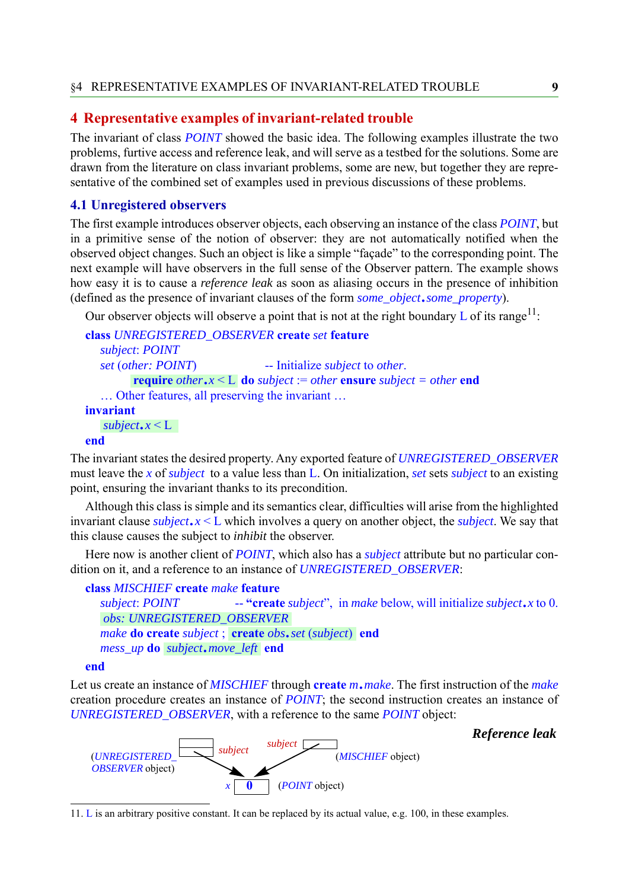### <span id="page-8-0"></span>**4 Representative examples of invariant-related trouble**

The invariant of class *POINT* showed the basic idea. The following examples illustrate the two problems, furtive access and reference leak, and will serve as a testbed for the solutions. Some are drawn from the literature on class invariant problems, some are new, but together they are representative of the combined set of examples used in previous discussions of these problems.

#### <span id="page-8-1"></span>**4.1 Unregistered observers**

The first example introduces observer objects, each observing an instance of the class *POINT*, but in a primitive sense of the notion of observer: they are not automatically notified when the observed object changes. Such an object is like a simple "façade" to the corresponding point. The next example will have observers in the full sense of the Observer pattern. The example shows how easy it is to cause a *reference leak* as soon as aliasing occurs in the presence of inhibition (defined as the presence of invariant clauses of the form *some\_object*.*some\_property*).

Our observer objects will observe a point that is not at the right boundary  $L$  of its range<sup>11</sup>:

```
class UNREGISTERED_OBSERVER create set feature
   subject: POINT
   set (other: POINT) -- Initialize subject to other.
          do subject := other ensure subject = other end<br>
require other.x < L do subject := other ensure subject = other end
   ... Other features, all preserving the invariant ...
invariant
end
   subject.x < L
```
The invariant states the desired property. Any exported feature of *UNREGISTERED\_OBSERVER* must leave the *x* of *subject* to a value less than L. On initialization, *set* sets *subject* to an existing point, ensuring the invariant thanks to its precondition.

Although this class is simple and its semantics clear, difficulties will arise from the highlighted invariant clause *subject*.*x* <sup>&</sup>lt; L which involves a query on another object, the *subject*. We say that this clause causes the subject to *inhibit* the observer.

Here now is another client of *POINT*, which also has a *subject* attribute but no particular condition on it, and a reference to an instance of *UNREGISTERED\_OBSERVER*:

#### **class** *MISCHIEF* **create** *make* **feature**

*subject*: *POINT* -- **"create** *subject*", in *make* below, will initialize *subject*.*x* to 0. *make* **do create** *subject* ; **end create** *obs*.*set* (*subject*) *make* **do create** *subject*, **create** *obs*<br>mess\_up **do** *subject*.move\_left **end** *obs: UNREGISTERED\_OBSERVER*

**end**

Let us create an instance of *MISCHIEF* through **create** *m*.*make*. The first instruction of the *make* creation procedure creates an instance of *POINT*; the second instruction creates an instance of *UNREGISTERED\_OBSERVER*, with a reference to the same *POINT* object:



*Reference leak*

11. L is an arbitrary positive constant. It can be replaced by its actual value, e.g. 100, in these examples.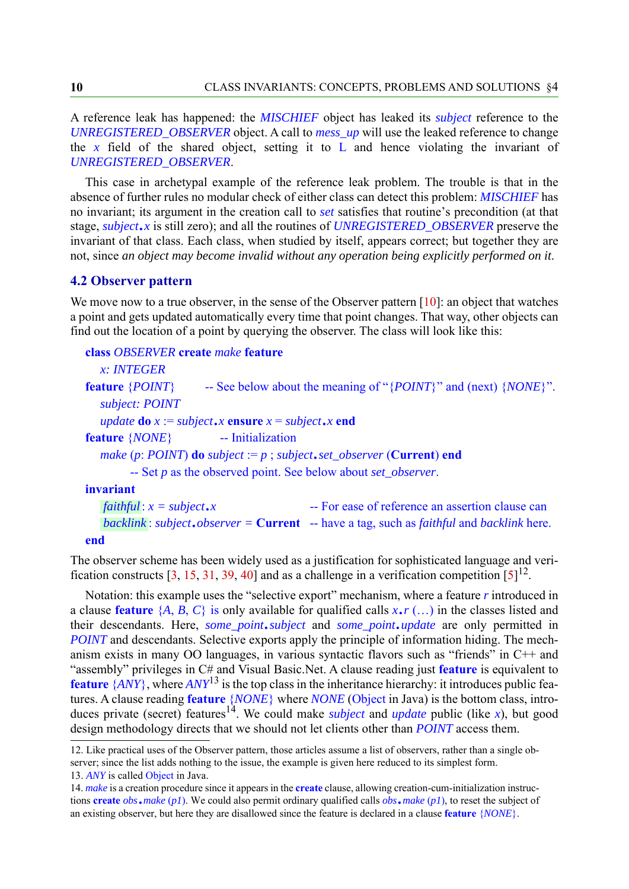A reference leak has happened: the *MISCHIEF* object has leaked its *subject* reference to the *UNREGISTERED\_OBSERVER* object. A call to *mess\_up* will use the leaked reference to change the  $x$  field of the shared object, setting it to  $L$  and hence violating the invariant of *UNREGISTERED\_OBSERVER*.

This case in archetypal example of the reference leak problem. The trouble is that in the absence of further rules no modular check of either class can detect this problem: *MISCHIEF* has no invariant; its argument in the creation call to *set* satisfies that routine's precondition (at that stage, *subject*.*x* is still zero); and all the routines of *UNREGISTERED\_OBSERVER* preserve the invariant of that class. Each class, when studied by itself, appears correct; but together they are not, since *an object may become invalid without any operation being explicitly performed on it*.

#### <span id="page-9-0"></span>**4.2 Observer pattern**

We move now to a true observer, in the sense of the Observer pattern [\[10](#page-39-14)]: an object that watches a point and gets updated automatically every time that point changes. That way, other objects can find out the location of a point by querying the observer. The class will look like this:

#### **class** *OBSERVER* **create** *make* **feature**

| x: INTEGER                      |                                                                                                |
|---------------------------------|------------------------------------------------------------------------------------------------|
| feature $\{POINT\}$             | -- See below about the meaning of "{ <i>POINT</i> }" and (next) { <i>NONE</i> }".              |
| subject: POINT                  |                                                                                                |
|                                 | <i>update</i> <b>do</b> $x := subject \cdot x$ <b>ensure</b> $x = subject \cdot x$ <b>end</b>  |
| feature { <i>NONE</i> }         | -- Initialization                                                                              |
|                                 | make (p: POINT) <b>do</b> subject $:= p$ ; subject, set_observer ( <b>Current</b> ) <b>end</b> |
|                                 | $-$ Set p as the observed point. See below about set_observer.                                 |
| invariant                       |                                                                                                |
| faithful: $x = subject \cdot x$ | -- For ease of reference an assertion clause can                                               |

```
: subject.observer = Current -- have a tag, such as faithful and backlink here.
backlinkend
  <i>x =
```
The observer scheme has been widely used as a justification for sophisticated language and veri-fication constructs [[3,](#page-38-0) [15,](#page-39-1) [31,](#page-40-3) [39,](#page-40-1) [40\]](#page-40-2) and as a challenge in a verification competition  $[5]^{12}$  $[5]^{12}$  $[5]^{12}$ .

Notation: this example uses the "selective export" mechanism, where a feature *r* introduced in a clause **feature**  $\{A, B, C\}$  is only available for qualified calls  $x \cdot r \dots$  in the classes listed and their descendants. Here, *some\_point*.*subject* and *some\_point*.*update* are only permitted in *POINT* and descendants. Selective exports apply the principle of information hiding. The mechanism exists in many OO languages, in various syntactic flavors such as "friends" in C++ and "assembly" privileges in C# and Visual Basic.Net. A clause reading just **feature** is equivalent to **feature** {*ANY*}, where *ANY*13 is the top class in the inheritance hierarchy: it introduces public features. A clause reading **feature** {*NONE*} where *NONE* (Object in Java) is the bottom class, introduces private (secret) features<sup>14</sup>. We could make *subject* and *update* public (like *x*), but good design methodology directs that we should not let clients other than *POINT* access them.

<span id="page-9-1"></span><sup>12.</sup> Like practical uses of the Observer pattern, those articles assume a list of observers, rather than a single observer; since the list adds nothing to the issue, the example is given here reduced to its simplest form. 13. *ANY* is called Object in Java.

<sup>14.</sup> *make* is a creation procedure since it appears in the **create** clause, allowing creation-cum-initialization instructions **create** *obs*.*make* (*p1*). We could also permit ordinary qualified calls *obs*.*make* (*p1*), to reset the subject of an existing observer, but here they are disallowed since the feature is declared in a clause **feature** {*NONE*}.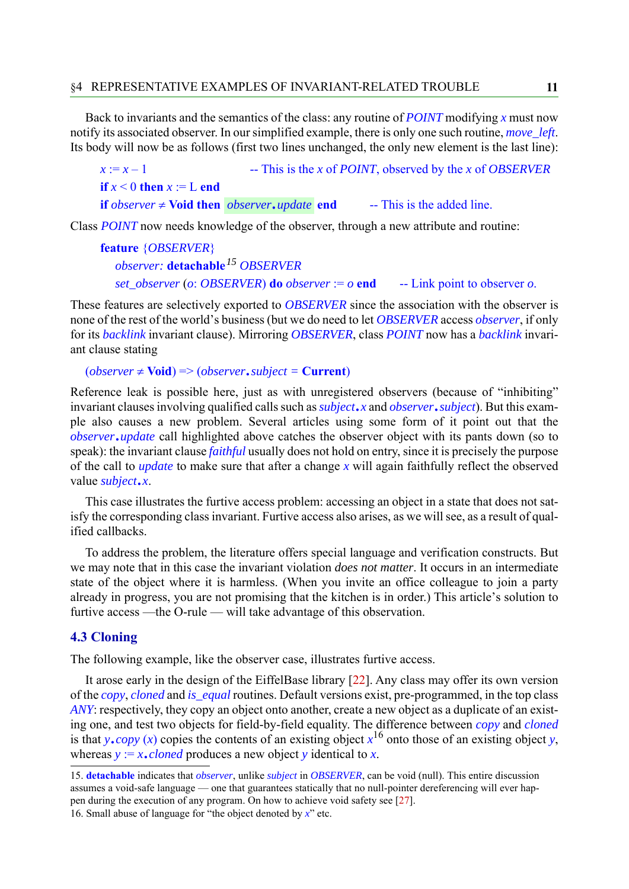Back to invariants and the semantics of the class: any routine of *POINT* modifying *x* must now notify its associated observer. In our simplified example, there is only one such routine, *move\_left*. Its body will now be as follows (first two lines unchanged, the only new element is the last line):

 $x := x - 1$  -- This is the *x* of *POINT*, observed by the *x* of *OBSERVER* **if**  $x \leq 0$  **then**  $x := L$  **end if** observer  $\neq$  **Void then** *observer***.***update* **end** -- This is the added line.

Class *POINT* now needs knowledge of the observer, through a new attribute and routine:

```
feature {OBSERVER}
  observer: detachable15 OBSERVER
  set_observer (o: OBSERVER) do observer := o end -- Link point to observer o.
```
These features are selectively exported to *OBSERVER* since the association with the observer is none of the rest of the world's business (but we do need to let *OBSERVER* access *observer*, if only for its *backlink* invariant clause). Mirroring *OBSERVER*, class *POINT* now has a *backlink* invariant clause stating

 $(observer \neq \text{void}) \Rightarrow (observer \square \text{ subject} = \text{Current})$ 

Reference leak is possible here, just as with unregistered observers (because of "inhibiting" invariant clauses involving qualified calls such as *subject*.*x* and *observer*.*subject*). But this example also causes a new problem. Several articles using some form of it point out that the *observer*.*update* call highlighted above catches the observer object with its pants down (so to speak): the invariant clause *faithful* usually does not hold on entry, since it is precisely the purpose of the call to *update* to make sure that after a change *x* will again faithfully reflect the observed value *subject*.*x*.

This case illustrates the furtive access problem: accessing an object in a state that does not satisfy the corresponding class invariant. Furtive access also arises, as we will see, as a result of qualified callbacks.

To address the problem, the literature offers special language and verification constructs. But we may note that in this case the invariant violation *does not matter*. It occurs in an intermediate state of the object where it is harmless. (When you invite an office colleague to join a party already in progress, you are not promising that the kitchen is in order.) This article's solution to furtive access —the O-rule — will take advantage of this observation.

#### <span id="page-10-0"></span>**4.3 Cloning**

The following example, like the observer case, illustrates furtive access.

It arose early in the design of the EiffelBase library [\[22](#page-39-15)]. Any class may offer its own version of the *copy*, *cloned* and *is\_equal* routines. Default versions exist, pre-programmed, in the top class *ANY*: respectively, they copy an object onto another, create a new object as a duplicate of an existing one, and test two objects for field-by-field equality. The difference between *copy* and *cloned* is that *y*.*copy* (*x*) copies the contents of an existing object  $x^{16}$  onto those of an existing object *y*, whereas  $y = x$ .*cloned* produces a new object *y* identical to *x*.

<sup>15.</sup> **detachable** indicates that *observer*, unlike *subject* in *OBSERVER*, can be void (null). This entire discussion assumes a void-safe language — one that guarantees statically that no null-pointer dereferencing will ever happen during the execution of any program. On how to achieve void safety see [[27\]](#page-40-8).

<sup>16.</sup> Small abuse of language for "the object denoted by *x*" etc.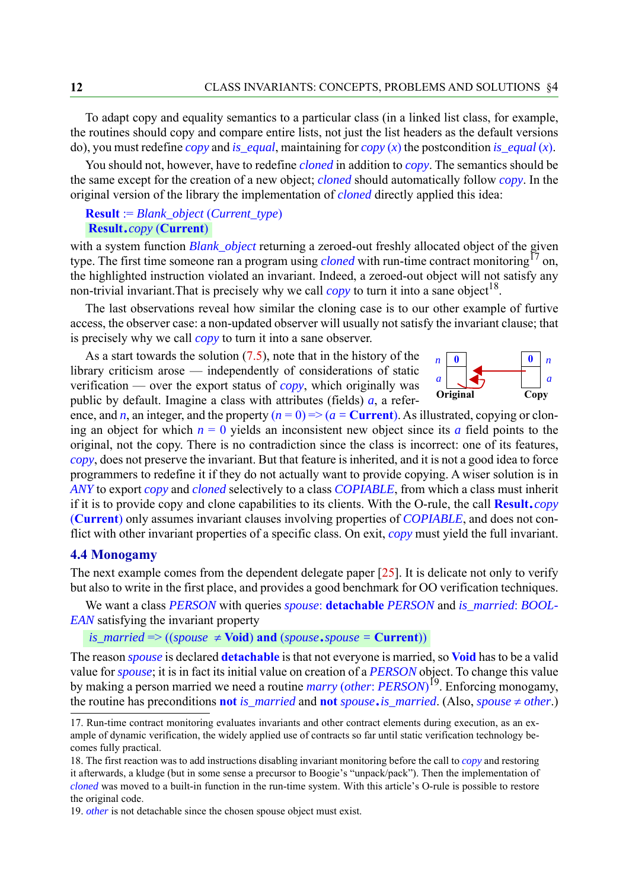To adapt copy and equality semantics to a particular class (in a linked list class, for example, the routines should copy and compare entire lists, not just the list headers as the default versions do), you must redefine *copy* and *is\_equal*, maintaining for *copy* (*x*) the postcondition *is\_equal* (*x*).

You should not, however, have to redefine *cloned* in addition to *copy*. The semantics should be the same except for the creation of a new object; *cloned* should automatically follow *copy*. In the original version of the library the implementation of *cloned* directly applied this idea:

#### **Result** := *Blank\_object* (*Current\_type*) **Result**.*copy* (**Current**)

with a system function *Blank\_object* returning a zeroed-out freshly allocated object of the given type. The first time someone ran a program using *cloned* with run-time contract monitoring<sup>17</sup> on, the highlighted instruction violated an invariant. Indeed, a zeroed-out object will not satisfy any non-trivial invariant. That is precisely why we call  $\langle copy \rangle$  to turn it into a sane object<sup>18</sup>.

The last observations reveal how similar the cloning case is to our other example of furtive access, the observer case: a non-updated observer will usually not satisfy the invariant clause; that is precisely why we call *copy* to turn it into a sane observer.

As a start towards the solution [\(7.5](#page-24-0)), note that in the history of the library criticism arose — independently of considerations of static verification — over the export status of *copy*, which originally was public by default. Imagine a class with attributes (fields)  $a$ , a refer-



ence, and *n*, an integer, and the property  $(n = 0) \Rightarrow (a =$ **Current**). As illustrated, copying or cloning an object for which  $n = 0$  yields an inconsistent new object since its *a* field points to the original, not the copy. There is no contradiction since the class is incorrect: one of its features, *copy*, does not preserve the invariant. But that feature is inherited, and it is not a good idea to force programmers to redefine it if they do not actually want to provide copying. A wiser solution is in *ANY* to export *copy* and *cloned* selectively to a class *COPIABLE*, from which a class must inherit if it is to provide copy and clone capabilities to its clients. With the O-rule, the call **Result**.*copy* (**Current**) only assumes invariant clauses involving properties of *COPIABLE*, and does not conflict with other invariant properties of a specific class. On exit, *copy* must yield the full invariant.

#### <span id="page-11-0"></span>**4.4 Monogamy**

The next example comes from the dependent delegate paper [[25\]](#page-39-3). It is delicate not only to verify but also to write in the first place, and provides a good benchmark for OO verification techniques.

We want a class *PERSON* with queries *spouse*: **detachable** *PERSON* and *is\_married*: *BOOL-EAN* satisfying the invariant property

#### *is\_married*  $\Rightarrow$  ((*spouse*  $\neq$  **Void**) **and** (*spouse*.*spouse* = **Current**))

The reason *spouse* is declared **detachable** is that not everyone is married, so **Void** has to be a valid value for *spouse*; it is in fact its initial value on creation of a *PERSON* object. To change this value by making a person married we need a routine *marry* (*other*: *PERSON*) 19. Enforcing monogamy, the routine has preconditions **not** is\_married and **not** *spouse*.is\_married. (Also, *spouse*  $\neq$  *other.*)

<sup>17.</sup> Run-time contract monitoring evaluates invariants and other contract elements during execution, as an example of dynamic verification, the widely applied use of contracts so far until static verification technology becomes fully practical.

<sup>18.</sup> The first reaction was to add instructions disabling invariant monitoring before the call to *copy* and restoring it afterwards, a kludge (but in some sense a precursor to Boogie's "unpack/pack"). Then the implementation of *cloned* was moved to a built-in function in the run-time system. With this article's O-rule is possible to restore the original code.

<sup>19.</sup> *other* is not detachable since the chosen spouse object must exist.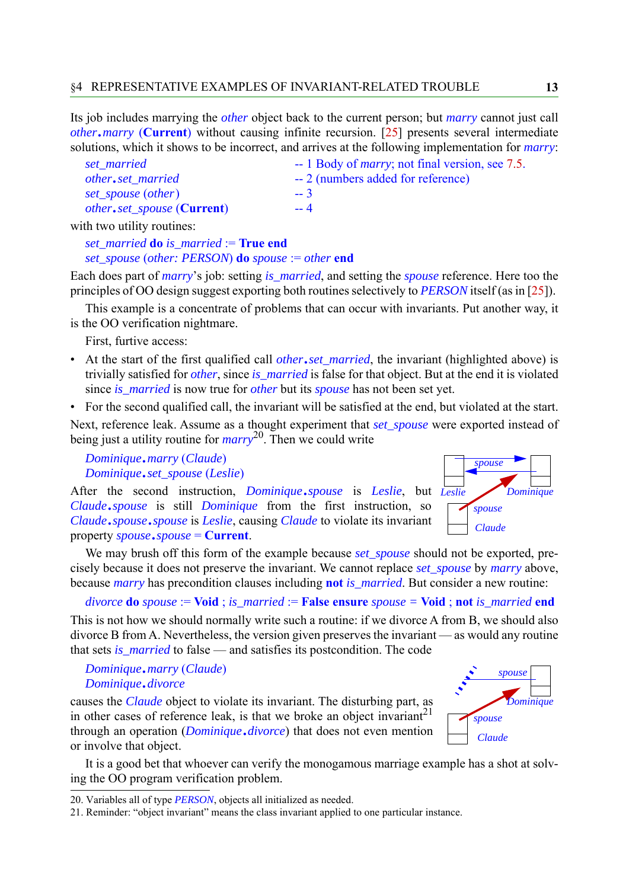Its job includes marrying the *other* object back to the current person; but *marry* cannot just call *other*.*marry* (**Current**) without causing infinite recursion. [[25\]](#page-39-3) presents several intermediate solutions, which it shows to be incorrect, and arrives at the following implementation for *marry*:

| set married                                | -- 1 Body of <i>marry</i> ; not final version, see 7.5. |
|--------------------------------------------|---------------------------------------------------------|
| other.set_married                          | -- 2 (numbers added for reference)                      |
| set_spouse (other)                         | $-3$                                                    |
| <i>other.set_spouse</i> ( <b>Current</b> ) | $-4$                                                    |
|                                            |                                                         |

with two utility routines:

*set\_married* **do** *is\_married* := **True end** *set\_spouse* (*other: PERSON*) **do** *spouse* := *other* **end**

Each does part of *marry*'s job: setting *is\_married*, and setting the *spouse* reference. Here too the principles of OO design suggest exporting both routines selectively to *PERSON* itself (as in [\[25](#page-39-3)]).

This example is a concentrate of problems that can occur with invariants. Put another way, it is the OO verification nightmare.

First, furtive access:

- At the start of the first qualified call *other*.*set\_married*, the invariant (highlighted above) is trivially satisfied for *other*, since *is\_married* is false for that object. But at the end it is violated since *is\_married* is now true for *other* but its *spouse* has not been set yet.
- For the second qualified call, the invariant will be satisfied at the end, but violated at the start.

Next, reference leak. Assume as a thought experiment that *set\_spouse* were exported instead of being just a utility routine for *marry*20. Then we could write

*Dominique*.*marry* (*Claude*) *Dominique*.*set\_spouse* (*Leslie*)

After the second instruction, *Dominique*.*spouse* is *Leslie*, but *Leslie Claude*.*spouse* is still *Dominique* from the first instruction, so *Claude*.*spouse*.*spouse* is *Leslie*, causing *Claude* to violate its invariant property *spouse*.*spouse* = **Current**.



We may brush off this form of the example because *set\_spouse* should not be exported, precisely because it does not preserve the invariant. We cannot replace *set\_spouse* by *marry* above, because *marry* has precondition clauses including **not** *is\_married*. But consider a new routine:

*divorce* **do** *spouse* := **Void** ; *is\_married* := **False ensure** *spouse =* **Void** ; **not** *is\_married* **end**

This is not how we should normally write such a routine: if we divorce A from B, we should also divorce B from A. Nevertheless, the version given preserves the invariant — as would any routine that sets *is\_married* to false — and satisfies its postcondition. The code

*Dominique*.*marry* (*Claude*) *Dominique*.*divorce*

causes the *Claude* object to violate its invariant. The disturbing part, as in other cases of reference leak, is that we broke an object invariant<sup>21</sup> through an operation (*Dominique*.*divorce*) that does not even mention or involve that object.

*spouse spouse Claude Dominique*

It is a good bet that whoever can verify the monogamous marriage example has a shot at solving the OO program verification problem.

<sup>20.</sup> Variables all of type *PERSON*, objects all initialized as needed.

<sup>21.</sup> Reminder: "object invariant" means the class invariant applied to one particular instance.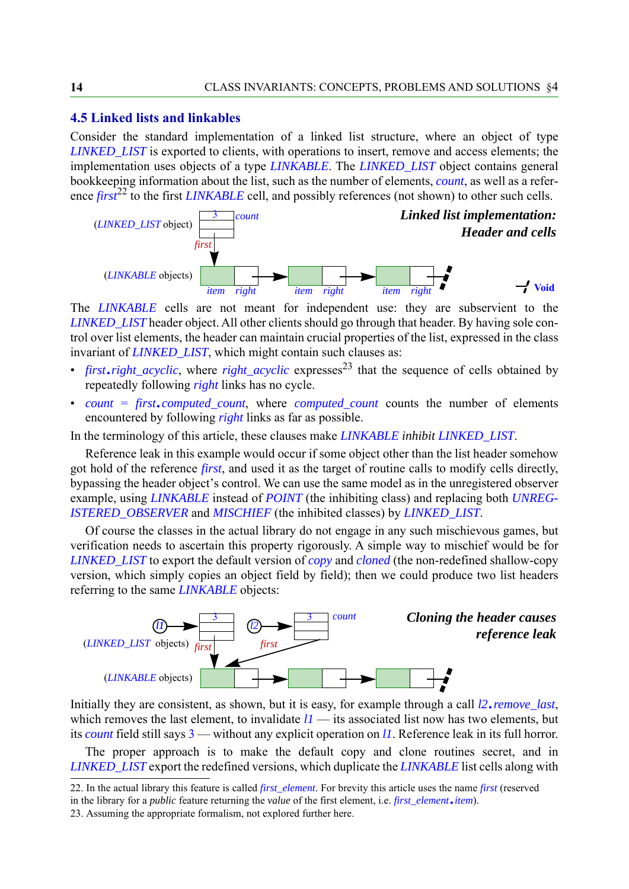#### <span id="page-13-0"></span>**4.5 Linked lists and linkables**

Consider the standard implementation of a linked list structure, where an object of type *LINKED\_LIST* is exported to clients, with operations to insert, remove and access elements; the implementation uses objects of a type *LINKABLE*. The *LINKED\_LIST* object contains general bookkeeping information about the list, such as the number of elements, *count*, as well as a reference *first*<sup>22</sup> to the first *LINKABLE* cell, and possibly references (not shown) to other such cells.



The *LINKABLE* cells are not meant for independent use: they are subservient to the *LINKED\_LIST* header object. All other clients should go through that header. By having sole control over list elements, the header can maintain crucial properties of the list, expressed in the class invariant of *LINKED\_LIST*, which might contain such clauses as:

- *first.right\_acyclic*, where *right\_acyclic* expresses<sup>23</sup> that the sequence of cells obtained by repeatedly following *right* links has no cycle.
- *count* = *first*.*computed\_count*, where *computed\_count* counts the number of elements encountered by following *right* links as far as possible.

In the terminology of this article, these clauses make *LINKABLE inhibit LINKED\_LIST*.

Reference leak in this example would occur if some object other than the list header somehow got hold of the reference *first*, and used it as the target of routine calls to modify cells directly, bypassing the header object's control. We can use the same model as in the unregistered observer example, using *LINKABLE* instead of *POINT* (the inhibiting class) and replacing both *UNREG-ISTERED\_OBSERVER* and *MISCHIEF* (the inhibited classes) by *LINKED\_LIST*.

Of course the classes in the actual library do not engage in any such mischievous games, but verification needs to ascertain this property rigorously. A simple way to mischief would be for *LINKED\_LIST* to export the default version of *copy* and *cloned* (the non-redefined shallow-copy version, which simply copies an object field by field); then we could produce two list headers referring to the same *LINKABLE* objects:



Initially they are consistent, as shown, but it is easy, for example through a call *l2*.*remove\_last*, which removes the last element, to invalidate  $11$  — its associated list now has two elements, but its *count* field still says 3 — without any explicit operation on *l1*. Reference leak in its full horror.

The proper approach is to make the default copy and clone routines secret, and in *LINKED\_LIST* export the redefined versions, which duplicate the *LINKABLE* list cells along with

<span id="page-13-1"></span><sup>22.</sup> In the actual library this feature is called *first\_element*. For brevity this article uses the name *first* (reserved in the library for a *public* feature returning the *value* of the first element, i.e. *first element*.*item*).

<sup>23.</sup> Assuming the appropriate formalism, not explored further here.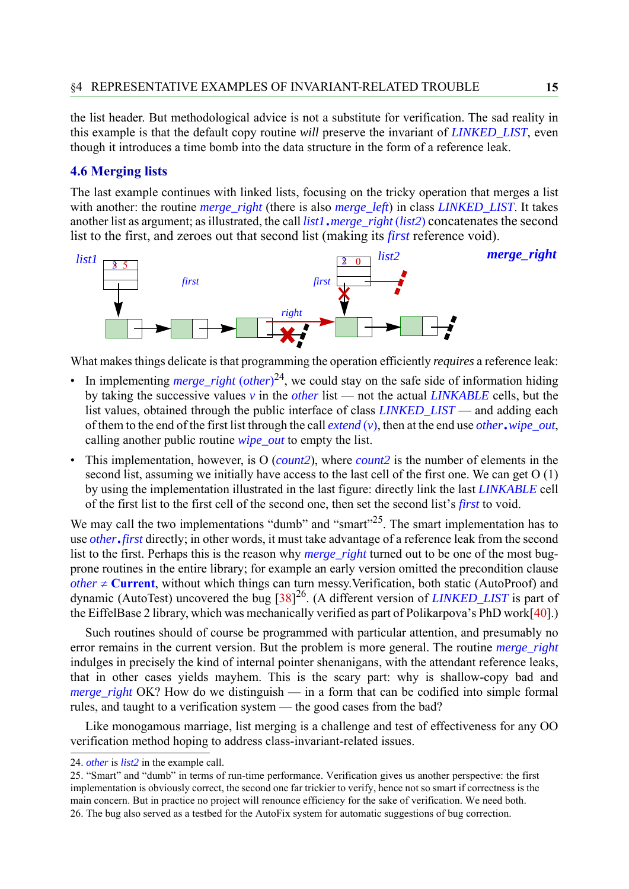the list header. But methodological advice is not a substitute for verification. The sad reality in this example is that the default copy routine *will* preserve the invariant of *LINKED\_LIST*, even though it introduces a time bomb into the data structure in the form of a reference leak.

#### <span id="page-14-0"></span>**4.6 Merging lists**

The last example continues with linked lists, focusing on the tricky operation that merges a list with another: the routine *merge* right (there is also *merge left*) in class *LINKED LIST*. It takes another list as argument; as illustrated, the call *list1*.*merge\_right* (*list2*) concatenates the second list to the first, and zeroes out that second list (making its *first* reference void).



What makes things delicate is that programming the operation efficiently *requires* a reference leak:

- In implementing *merge\_right* (*other*)<sup>24</sup>, we could stay on the safe side of information hiding by taking the successive values *v* in the *other* list — not the actual *LINKABLE* cells, but the list values, obtained through the public interface of class *LINKED\_LIST* — and adding each of them to the end of the first list through the call *extend* (*v*), then at the end use *other*.*wipe\_out*, calling another public routine *wipe\_out* to empty the list.
- This implementation, however, is O (*count2*), where *count2* is the number of elements in the second list, assuming we initially have access to the last cell of the first one. We can get O (1) by using the implementation illustrated in the last figure: directly link the last *LINKABLE* cell of the first list to the first cell of the second one, then set the second list's *first* to void.

We may call the two implementations "dumb" and "smart"<sup>25</sup>. The smart implementation has to use *other*.*first* directly; in other words, it must take advantage of a reference leak from the second list to the first. Perhaps this is the reason why *merge\_right* turned out to be one of the most bugprone routines in the entire library; for example an early version omitted the precondition clause  $other \neq$  **Current**, without which things can turn messy. Verification, both static (AutoProof) and dynamic (AutoTest) uncovered the bug [\[38](#page-40-9)] 26. (A different version of *LINKED\_LIST* is part of the EiffelBase 2 library, which was mechanically verified as part of Polikarpova's PhD work[[40\]](#page-40-2).)

Such routines should of course be programmed with particular attention, and presumably no error remains in the current version. But the problem is more general. The routine *merge\_right* indulges in precisely the kind of internal pointer shenanigans, with the attendant reference leaks, that in other cases yields mayhem. This is the scary part: why is shallow-copy bad and *merge\_right* OK? How do we distinguish — in a form that can be codified into simple formal rules, and taught to a verification system — the good cases from the bad?

Like monogamous marriage, list merging is a challenge and test of effectiveness for any OO verification method hoping to address class-invariant-related issues.

<sup>24.</sup> *other* is *list2* in the example call.

<sup>25. &</sup>quot;Smart" and "dumb" in terms of run-time performance. Verification gives us another perspective: the first implementation is obviously correct, the second one far trickier to verify, hence not so smart if correctness is the main concern. But in practice no project will renounce efficiency for the sake of verification. We need both. 26. The bug also served as a testbed for the AutoFix system for automatic suggestions of bug correction.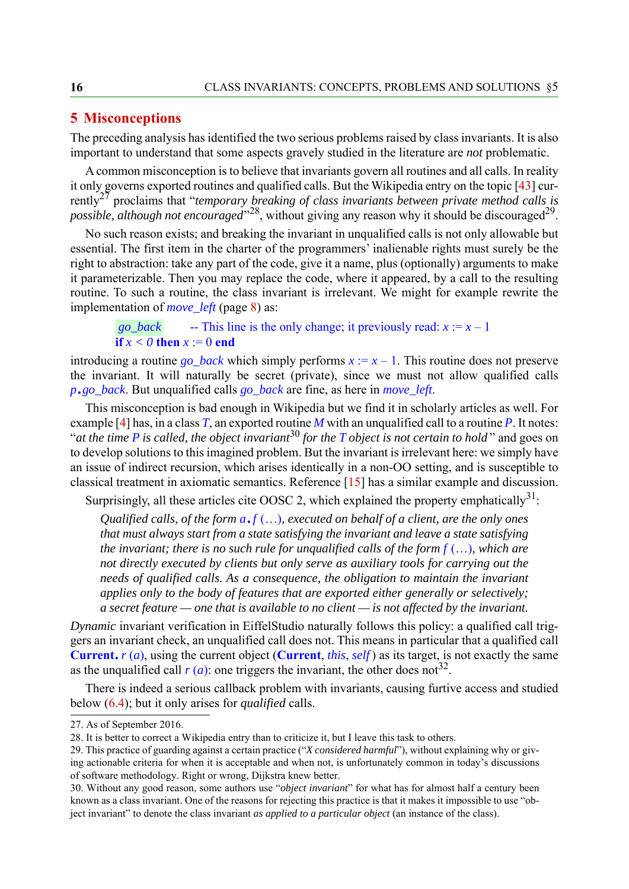## <span id="page-15-0"></span>**5 Misconceptions**

The preceding analysis has identified the two serious problems raised by class invariants. It is also important to understand that some aspects gravely studied in the literature are *not* problematic.

A common misconception is to believe that invariants govern all routines and all calls. In reality it only governs exported routines and qualified calls. But the Wikipedia entry on the topic [\[43](#page-41-0)] currently27 proclaims that "*temporary breaking of class invariants between private method calls is possible, although not encouraged*"<sup>28</sup>, without giving any reason why it should be discouraged<sup>29</sup>.

No such reason exists; and breaking the invariant in unqualified calls is not only allowable but essential. The first item in the charter of the programmers' inalienable rights must surely be the right to abstraction: take any part of the code, give it a name, plus (optionally) arguments to make it parameterizable. Then you may replace the code, where it appeared, by a call to the resulting routine. To such a routine, the class invariant is irrelevant. We might for example rewrite the implementation of *move\_left* (page [8](#page-7-0)) as:

 $-$  This line is the only change; it previously read:  $x := x - 1$ **if**  $x < 0$  **then**  $x = 0$  **end** *go\_back* 

introducing a routine *go\_back* which simply performs  $x := x - 1$ . This routine does not preserve the invariant. It will naturally be secret (private), since we must not allow qualified calls *<sup>p</sup>*.*go\_back*. But unqualified calls *go\_back* are fine, as here in *move\_left*.

This misconception is bad enough in Wikipedia but we find it in scholarly articles as well. For example [\[4](#page-38-5)] has, in a class *T*, an exported routine *M* with an unqualified call to a routine *P*. It notes: "*at the time P is called, the object invariant*30 *for the T object is not certain to hold* " and goes on to develop solutions to this imagined problem. But the invariant is irrelevant here: we simply have an issue of indirect recursion, which arises identically in a non-OO setting, and is susceptible to classical treatment in axiomatic semantics. Reference [[15\]](#page-39-1) has a similar example and discussion.

Surprisingly, all these articles cite OOSC 2, which explained the property emphatically  $31$ :

*Qualified calls, of the form*  $a.f$  *(...), executed on behalf of a client, are the only ones that must always start from a state satisfying the invariant and leave a state satisfying the invariant; there is no such rule for unqualified calls of the form*  $f$  *(...), which are not directly executed by clients but only serve as auxiliary tools for carrying out the needs of qualified calls. As a consequence, the obligation to maintain the invariant applies only to the body of features that are exported either generally or selectively; a secret feature — one that is available to no client — is not affected by the invariant.*

*Dynamic* invariant verification in EiffelStudio naturally follows this policy: a qualified call triggers an invariant check, an unqualified call does not. This means in particular that a qualified call **Current**.*r* (*a*), using the current object (**Current**, *this*, *self* ) as its target, is not exactly the same as the unqualified call  $r(a)$ : one triggers the invariant, the other does not<sup>32</sup>.

There is indeed a serious callback problem with invariants, causing furtive access and studied below ([6.4\)](#page-19-0); but it only arises for *qualified* calls.

<sup>27.</sup> As of September 2016.

<sup>28.</sup> It is better to correct a Wikipedia entry than to criticize it, but I leave this task to others.

<sup>29.</sup> This practice of guarding against a certain practice ("*X considered harmful*"), without explaining why or giving actionable criteria for when it is acceptable and when not, is unfortunately common in today's discussions of software methodology. Right or wrong, Dijkstra knew better.

<span id="page-15-1"></span><sup>30.</sup> Without any good reason, some authors use "*object invariant*" for what has for almost half a century been known as a class invariant. One of the reasons for rejecting this practice is that it makes it impossible to use "object invariant" to denote the class invariant *as applied to a particular object* (an instance of the class).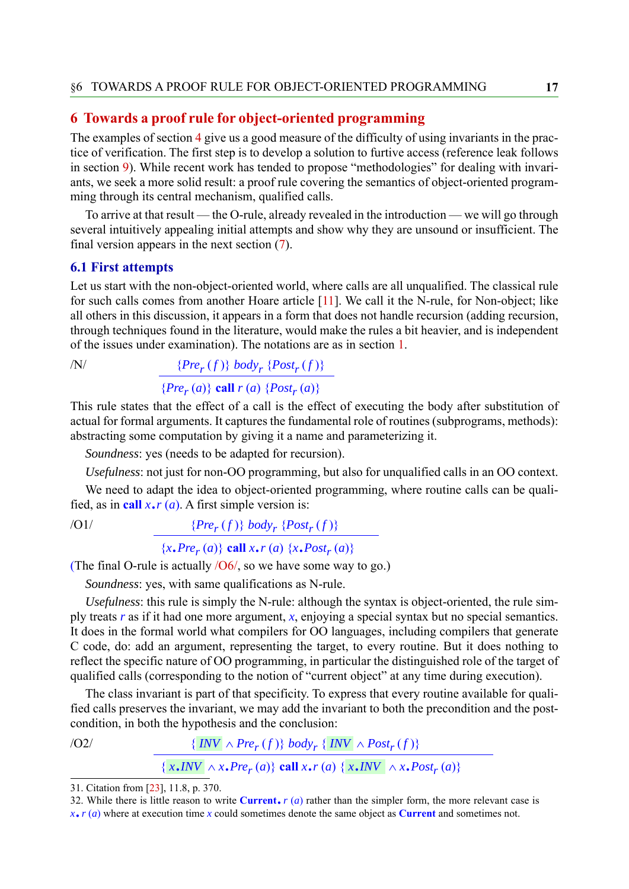#### <span id="page-16-0"></span>**6 Towards a proof rule for object-oriented programming**

The examples of section [4](#page-8-0) give us a good measure of the difficulty of using invariants in the practice of verification. The first step is to develop a solution to furtive access (reference leak follows in section [9](#page-28-0)). While recent work has tended to propose "methodologies" for dealing with invariants, we seek a more solid result: a proof rule covering the semantics of object-oriented programming through its central mechanism, qualified calls.

To arrive at that result — the O-rule, already revealed in the introduction — we will go through several intuitively appealing initial attempts and show why they are unsound or insufficient. The final version appears in the next section [\(7](#page-21-0)).

#### **6.1 First attempts**

Let us start with the non-object-oriented world, where calls are all unqualified. The classical rule for such calls comes from another Hoare article [\[11\]](#page-39-16). We call it the N-rule, for Non-object; like all others in this discussion, it appears in a form that does not handle recursion (adding recursion, through techniques found in the literature, would make the rules a bit heavier, and is independent of the issues under examination). The notations are as in section [1.](#page-2-0)

<span id="page-16-3"></span>/N/  $\{Pre_r(f)\} body_r \{Post_r(f)\}$  ${Pre_r(a)}$  **call**  $r(a) {Pos_t_r(a)}$ 

This rule states that the effect of a call is the effect of executing the body after substitution of actual for formal arguments. It captures the fundamental role of routines (subprograms, methods): abstracting some computation by giving it a name and parameterizing it.

*Soundness*: yes (needs to be adapted for recursion).

*Usefulness*: not just for non-OO programming, but also for unqualified calls in an OO context.

We need to adapt the idea to object-oriented programming, where routine calls can be qualified, as in call  $x \cdot r$  (*a*). A first simple version is:

<span id="page-16-2"></span> $(91/$  {*Pre<sub>r</sub>* (*f*)} *body<sub>r</sub>* {*Post<sub>r</sub>* (*f*)}

# ${x, Pre_r(a)}$  **call**  $x, r(a)$   ${x, Post_r(a)}$

(The final O-rule is actually  $/06/$ , so we have some way to go.)

*Soundness*: yes, with same qualifications as N-rule.

*Usefulness*: this rule is simply the N-rule: although the syntax is object-oriented, the rule simply treats *r* as if it had one more argument, *x*, enjoying a special syntax but no special semantics. It does in the formal world what compilers for OO languages, including compilers that generate C code, do: add an argument, representing the target, to every routine. But it does nothing to reflect the specific nature of OO programming, in particular the distinguished role of the target of qualified calls (corresponding to the notion of "current object" at any time during execution).

The class invariant is part of that specificity. To express that every routine available for qualified calls preserves the invariant, we may add the invariant to both the precondition and the postcondition, in both the hypothesis and the conclusion:

<span id="page-16-1"></span> $\{INV \wedge Pre_r(f)\}$  *body<sub>r</sub>*  $\{INV \wedge Post_r(f)\}$ 

 ${x, \textit{INV} \land x, \textit{Pre}_r(a)}$  call  $x, r(a) \{x, \textit{INV} \land x, \textit{Post}_r(a)\}$ 

<sup>31.</sup> Citation from [[23\]](#page-39-10), 11.8, p. 370.

<sup>32.</sup> While there is little reason to write **Current**.  $r(a)$  rather than the simpler form, the more relevant case is *<sup>x</sup>*. *r* (*a*) where at execution time *x* could sometimes denote the same object as **Current** and sometimes not.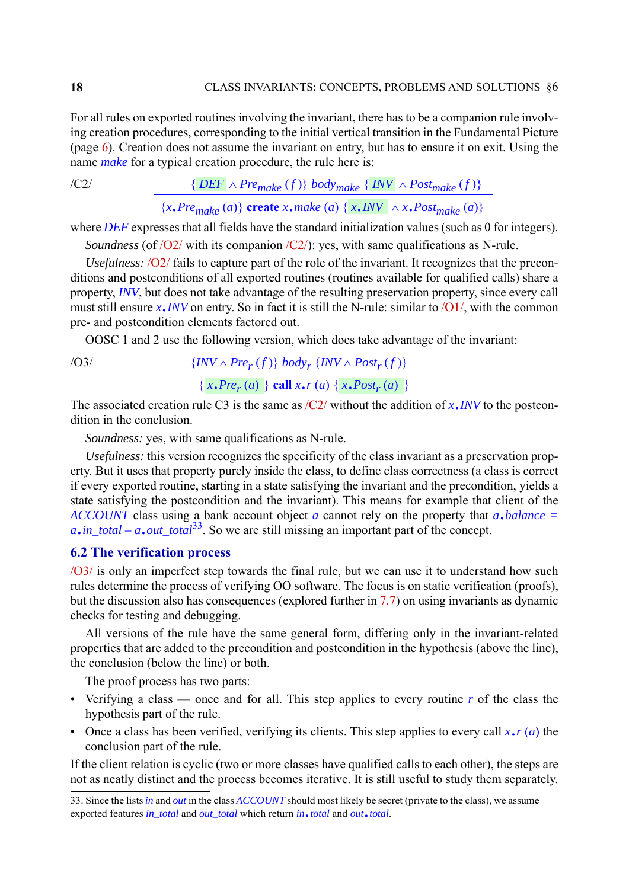For all rules on exported routines involving the invariant, there has to be a companion rule involving creation procedures, corresponding to the initial vertical transition in the Fundamental Picture (page [6](#page-5-0)). Creation does not assume the invariant on entry, but has to ensure it on exit. Using the name *make* for a typical creation procedure, the rule here is:

<span id="page-17-0"></span>
$$
\{ \overline{DEF} \land \overline{Pre_{make}(f)} \} \ body_{make} \{ \overline{INV} \land \overline{Post_{make}(f)} \}
$$

 ${x, Pre_{make}(a)}$  **create** *x*.*make* (*a*) {  ${x, INV} \wedge x, Post_{make}(a)$ }

where *DEF* expresses that all fields have the standard initialization values (such as 0 for integers).

*Soundness* (of [/O2/](#page-16-1) with its companion [/C2/](#page-17-0)): yes, with same qualifications as N-rule.

*Usefulness:* [/O2/](#page-16-1) fails to capture part of the role of the invariant. It recognizes that the preconditions and postconditions of all exported routines (routines available for qualified calls) share a property, *INV*, but does not take advantage of the resulting preservation property, since every call must still ensure  $x$ .*INV* on entry. So in fact it is still the N-rule: similar to  $\overline{\smash{O1}}$ , with the common pre- and postcondition elements factored out.

OOSC 1 and 2 use the following version, which does take advantage of the invariant:

<span id="page-17-1"></span>/O3/  $\{INV \wedge Pre_r(f)\} body_r \{INV \wedge Post_r(f)\}$  ${x, Pre<sub>r</sub>(a)}$  {  ${x, Pref<sub>r</sub>(a)}$  {  ${x, Post<sub>r</sub>(a)}$  }

The associated creation rule C3 is the same as  $\sqrt{C_2}$  without the addition of *x*.*INV* to the postcondition in the conclusion.

*Soundness:* yes, with same qualifications as N-rule.

*Usefulness:* this version recognizes the specificity of the class invariant as a preservation property. But it uses that property purely inside the class, to define class correctness (a class is correct if every exported routine, starting in a state satisfying the invariant and the precondition, yields a state satisfying the postcondition and the invariant). This means for example that client of the *ACCOUNT* class using a bank account object *a* cannot rely on the property that *a*.*balance = <sup>a</sup>*.*in\_total – a*.*out\_total*33. So we are still missing an important part of the concept.

# **6.2 The verification process**

[/O3/](#page-17-1) is only an imperfect step towards the final rule, but we can use it to understand how such rules determine the process of verifying OO software. The focus is on static verification (proofs), but the discussion also has consequences (explored further in [7.7\)](#page-26-0) on using invariants as dynamic checks for testing and debugging.

All versions of the rule have the same general form, differing only in the invariant-related properties that are added to the precondition and postcondition in the hypothesis (above the line), the conclusion (below the line) or both.

The proof process has two parts:

- Verifying a class once and for all. This step applies to every routine *r* of the class the hypothesis part of the rule.
- Once a class has been verified, verifying its clients. This step applies to every call  $x \cdot r$  (*a*) the conclusion part of the rule.

If the client relation is cyclic (two or more classes have qualified calls to each other), the steps are not as neatly distinct and the process becomes iterative. It is still useful to study them separately.

<sup>33.</sup> Since the lists *in* and *out* in the class *ACCOUNT* should most likely be secret (private to the class), we assume exported features *in\_total* and *out\_total* which return *in*.*total* and *out*.*total*.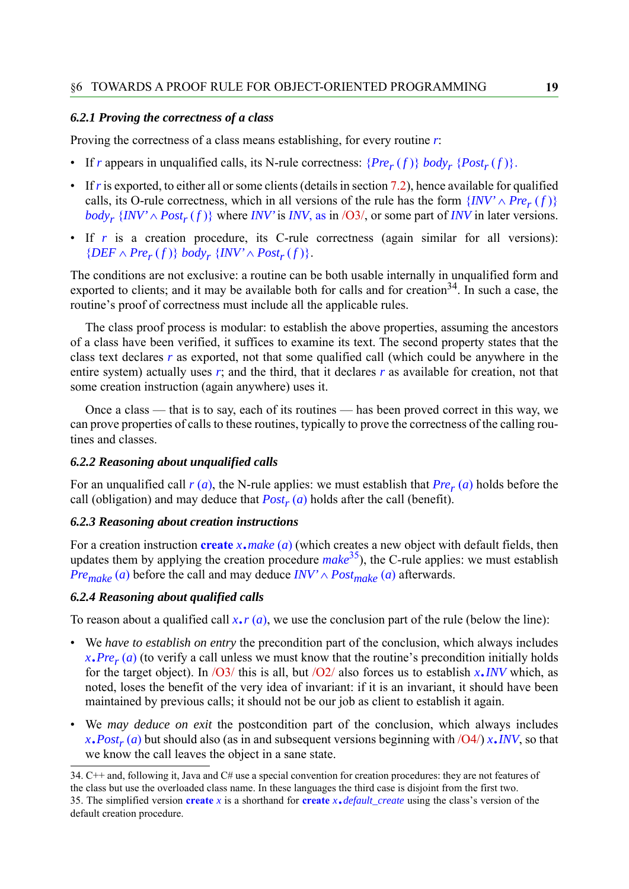#### <span id="page-18-0"></span>*6.2.1 Proving the correctness of a class*

Proving the correctness of a class means establishing, for every routine *r*:

- If *r* appears in unqualified calls, its N-rule correctness:  ${Pre_r(f)}$  *body<sub>r</sub>*  ${Post_r(f)}$ .
- If *r* is exported, to either all or some clients (details in section [7.2\)](#page-22-0), hence available for qualified calls, its O-rule correctness, which in all versions of the rule has the form  $\{INV' \land Pre_r(f)\}$ *body<sub>r</sub>* { $INV' \wedge Post_r(f)$ } where *INV'* is *INV*, as in [/O3/](#page-17-1), or some part of *INV* in later versions.
- If *r* is a creation procedure, its C-rule correctness (again similar for all versions):  ${DEF \wedge Pre_r(f)}$  *body<sub>r</sub>*  ${INV' \wedge Post_r(f)}$ .

The conditions are not exclusive: a routine can be both usable internally in unqualified form and exported to clients; and it may be available both for calls and for creation<sup>34</sup>. In such a case, the routine's proof of correctness must include all the applicable rules.

The class proof process is modular: to establish the above properties, assuming the ancestors of a class have been verified, it suffices to examine its text. The second property states that the class text declares *r* as exported, not that some qualified call (which could be anywhere in the entire system) actually uses *r*; and the third, that it declares *r* as available for creation, not that some creation instruction (again anywhere) uses it.

Once a class — that is to say, each of its routines — has been proved correct in this way, we can prove properties of calls to these routines, typically to prove the correctness of the calling routines and classes.

#### *6.2.2 Reasoning about unqualified calls*

For an unqualified call  $r(a)$ , the N-rule applies: we must establish that  $Pre_r(a)$  holds before the call (obligation) and may deduce that  $Post<sub>r</sub>(a)$  holds after the call (benefit).

#### *6.2.3 Reasoning about creation instructions*

For a creation instruction **create** *x*.*make* (*a*) (which creates a new object with default fields, then updates them by applying the creation procedure *make*35), the C-rule applies: we must establish *Pre<sub>make</sub>* (*a*) before the call and may deduce  $INV' \wedge Post_{make}$  (*a*) afterwards.

#### *6.2.4 Reasoning about qualified calls*

To reason about a qualified call  $x \cdot r(a)$ , we use the conclusion part of the rule (below the line):

- We *have to establish on entry* the precondition part of the conclusion, which always includes  $x.Pre<sub>r</sub>(a)$  (to verify a call unless we must know that the routine's precondition initially holds for the target object). In  $\sqrt{O3/8}$  this is all, but  $\sqrt{O2/8}$  also forces us to establish *x*.*INV* which, as noted, loses the benefit of the very idea of invariant: if it is an invariant, it should have been maintained by previous calls; it should not be our job as client to establish it again.
- We *may deduce on exit* the postcondition part of the conclusion, which always includes  $x \cdot Post_r(a)$  but should also (as in and subsequent versions beginning with  $\sqrt{O(1/x \cdot INV)}$ , so that we know the call leaves the object in a sane state.

<sup>34.</sup> C++ and, following it, Java and C# use a special convention for creation procedures: they are not features of the class but use the overloaded class name. In these languages the third case is disjoint from the first two. 35. The simplified version **create** *<sup>x</sup>* is a shorthand for **create** *<sup>x</sup>*.*default\_create* using the class's version of the default creation procedure.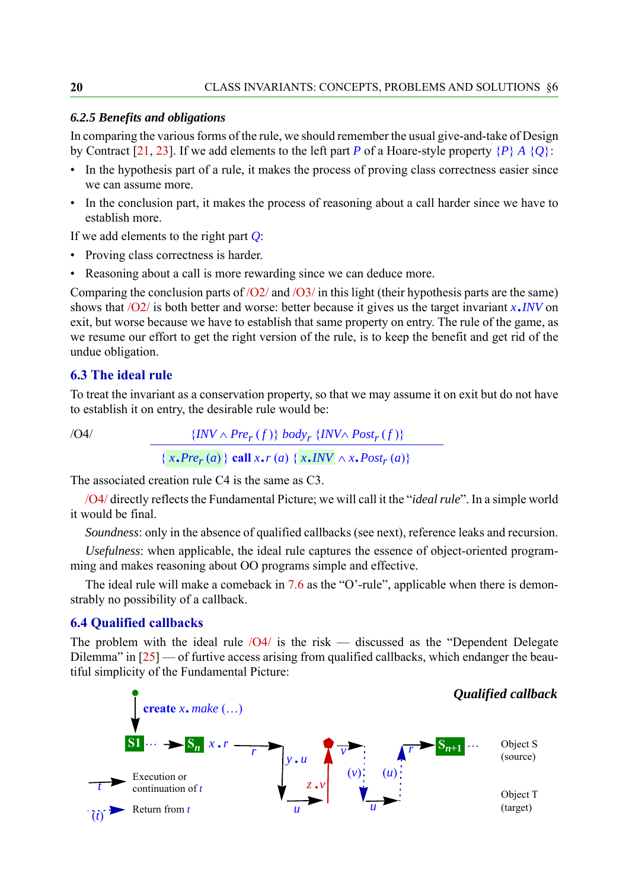#### *6.2.5 Benefits and obligations*

In comparing the various forms of the rule, we should remember the usual give-and-take of Design by Contract [[21,](#page-39-9) [23\]](#page-39-10). If we add elements to the left part *P* of a Hoare-style property {*P*} *A* {*Q*}:

- In the hypothesis part of a rule, it makes the process of proving class correctness easier since we can assume more.
- In the conclusion part, it makes the process of reasoning about a call harder since we have to establish more.

If we add elements to the right part *Q*:

- Proving class correctness is harder.
- Reasoning about a call is more rewarding since we can deduce more.

Comparing the conclusion parts of  $\sqrt{O2/}$  and  $\sqrt{O3/}$  in this light (their hypothesis parts are the same) shows that [/O2/](#page-16-1) is both better and worse: better because it gives us the target invariant *x*.*INV* on exit, but worse because we have to establish that same property on entry. The rule of the game, as we resume our effort to get the right version of the rule, is to keep the benefit and get rid of the undue obligation.

#### **6.3 The ideal rule**

To treat the invariant as a conservation property, so that we may assume it on exit but do not have to establish it on entry, the desirable rule would be:

<span id="page-19-1"></span>/O4/  $\{INV \wedge Pre_r(f)\}$  *body<sub>r</sub>*  $\{INV \wedge Post_r(f)\}$ 

```
{x, Pre<sub>r</sub>(a)} all x, r(a) {x, lNV \wedge x, Post<sub>r</sub>(a)}
```
The associated creation rule C4 is the same as C3.

[/O4/](#page-19-1) directly reflects the Fundamental Picture; we will call it the "*ideal rule*". In a simple world it would be final.

*Soundness*: only in the absence of qualified callbacks (see next), reference leaks and recursion.

*Usefulness*: when applicable, the ideal rule captures the essence of object-oriented programming and makes reasoning about OO programs simple and effective.

The ideal rule will make a comeback in [7.6](#page-25-0) as the "O'-rule", applicable when there is demonstrably no possibility of a callback.

#### <span id="page-19-0"></span>**6.4 Qualified callbacks**

The problem with the ideal rule  $\sqrt{O4}$  is the risk — discussed as the "Dependent Delegate" Dilemma" in  $[25]$  $[25]$  — of furtive access arising from qualified callbacks, which endanger the beautiful simplicity of the Fundamental Picture:

<span id="page-19-2"></span>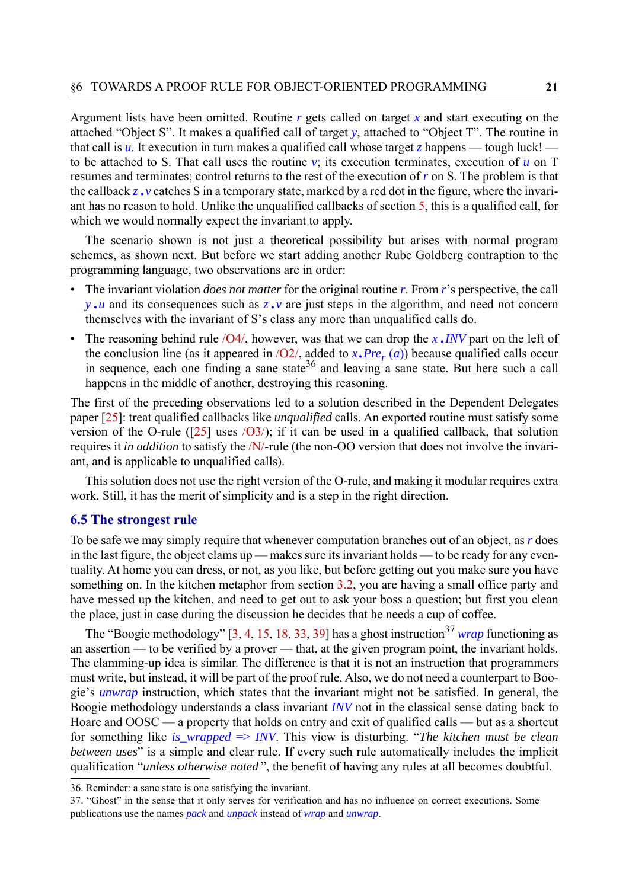Argument lists have been omitted. Routine *r* gets called on target *x* and start executing on the attached "Object S". It makes a qualified call of target *y*, attached to "Object T". The routine in that call is  $\mu$ . It execution in turn makes a qualified call whose target *z* happens — tough luck! to be attached to S. That call uses the routine  $v$ ; its execution terminates, execution of  $u$  on T resumes and terminates; control returns to the rest of the execution of *r* on S. The problem is that the callback *z*.*v* catches S in a temporary state, marked by a red dot in the figure, where the invariant has no reason to hold. Unlike the unqualified callbacks of section [5](#page-15-0), this is a qualified call, for which we would normally expect the invariant to apply.

The scenario shown is not just a theoretical possibility but arises with normal program schemes, as shown next. But before we start adding another Rube Goldberg contraption to the programming language, two observations are in order:

- The invariant violation *does not matter* for the original routine *r*. From *r*'s perspective, the call *<sup>y</sup>* .*u* and its consequences such as *z*.*v* are just steps in the algorithm, and need not concern themselves with the invariant of S's class any more than unqualified calls do.
- The reasoning behind rule [/O4/,](#page-19-1) however, was that we can drop the *<sup>x</sup>* .*INV* part on the left of the conclusion line (as it appeared in  $\sqrt{O2}$ , added to  $x$ . *Pre<sub>r</sub>* (*a*)) because qualified calls occur in sequence, each one finding a sane state<sup>36</sup> and leaving a sane state. But here such a call happens in the middle of another, destroying this reasoning.

The first of the preceding observations led to a solution described in the Dependent Delegates paper [[25\]](#page-39-3): treat qualified callbacks like *unqualified* calls. An exported routine must satisfy some version of the O-rule ( $[25]$  $[25]$  uses  $\overline{O(3)}$ ); if it can be used in a qualified callback, that solution requires it *in addition* to satisfy the [/N/-](#page-16-3)rule (the non-OO version that does not involve the invariant, and is applicable to unqualified calls).

This solution does not use the right version of the O-rule, and making it modular requires extra work. Still, it has the merit of simplicity and is a step in the right direction.

#### **6.5 The strongest rule**

To be safe we may simply require that whenever computation branches out of an object, as *r* does in the last figure, the object clams up — makes sure its invariant holds — to be ready for any eventuality. At home you can dress, or not, as you like, but before getting out you make sure you have something on. In the kitchen metaphor from section [3.2](#page-5-1), you are having a small office party and have messed up the kitchen, and need to get out to ask your boss a question; but first you clean the place, just in case during the discussion he decides that he needs a cup of coffee.

The "Boogie methodology" [[3,](#page-38-0) [4,](#page-38-5) [15](#page-39-1), [18,](#page-39-12) [33](#page-40-10), [39](#page-40-1)] has a ghost instruction<sup>37</sup> *wrap* functioning as an assertion — to be verified by a prover — that, at the given program point, the invariant holds. The clamming-up idea is similar. The difference is that it is not an instruction that programmers must write, but instead, it will be part of the proof rule. Also, we do not need a counterpart to Boogie's *unwrap* instruction, which states that the invariant might not be satisfied. In general, the Boogie methodology understands a class invariant *INV* not in the classical sense dating back to Hoare and OOSC — a property that holds on entry and exit of qualified calls — but as a shortcut for something like *is\_wrapped* => *INV*. This view is disturbing. "*The kitchen must be clean between uses*" is a simple and clear rule. If every such rule automatically includes the implicit qualification "*unless otherwise noted* ", the benefit of having any rules at all becomes doubtful.

<sup>36.</sup> Reminder: a sane state is one satisfying the invariant.

<sup>37. &</sup>quot;Ghost" in the sense that it only serves for verification and has no influence on correct executions. Some publications use the names *pack* and *unpack* instead of *wrap* and *unwrap*.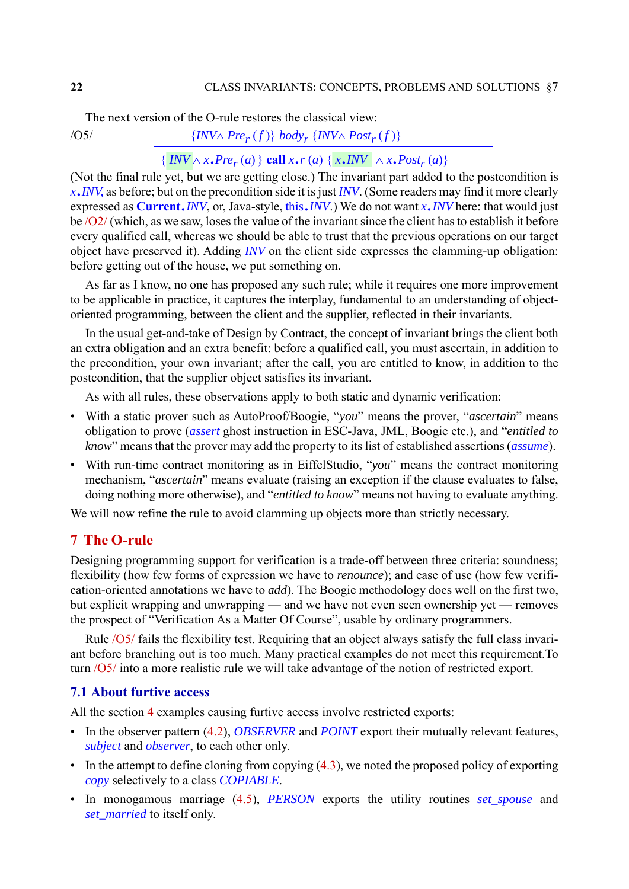The next version of the O-rule restores the classical view:

<span id="page-21-1"></span> $\{INVA Pre_r(f)\}$  *body<sub>r</sub>*  $\{INVA Post_r(f)\}$ 

# $\{INV \wedge x \cdot Pre_r(a)\}$  call  $x \cdot r(a) \{x \cdot \textit{INV} \mid \wedge x \cdot Post_r(a)\}$

(Not the final rule yet, but we are getting close.) The invariant part added to the postcondition is *x*.*INV*, as before; but on the precondition side it is just *INV*. (Some readers may find it more clearly expressed as **Current**.*INV*, or, Java-style, this.*INV*.) We do not want *x*.*INV* here: that would just be [/O2/](#page-16-1) (which, as we saw, loses the value of the invariant since the client has to establish it before every qualified call, whereas we should be able to trust that the previous operations on our target object have preserved it). Adding *INV* on the client side expresses the clamming-up obligation: before getting out of the house, we put something on.

As far as I know, no one has proposed any such rule; while it requires one more improvement to be applicable in practice, it captures the interplay, fundamental to an understanding of objectoriented programming, between the client and the supplier, reflected in their invariants.

In the usual get-and-take of Design by Contract, the concept of invariant brings the client both an extra obligation and an extra benefit: before a qualified call, you must ascertain, in addition to the precondition, your own invariant; after the call, you are entitled to know, in addition to the postcondition, that the supplier object satisfies its invariant.

As with all rules, these observations apply to both static and dynamic verification:

- With a static prover such as AutoProof/Boogie, "*you*" means the prover, "*ascertain*" means obligation to prove (*assert* ghost instruction in ESC-Java, JML, Boogie etc.), and "*entitled to know*" means that the prover may add the property to its list of established assertions (*assume*).
- With run-time contract monitoring as in EiffelStudio, "*you*" means the contract monitoring mechanism, "*ascertain*" means evaluate (raising an exception if the clause evaluates to false, doing nothing more otherwise), and "*entitled to know*" means not having to evaluate anything.

We will now refine the rule to avoid clamming up objects more than strictly necessary.

#### <span id="page-21-0"></span>**7 The O-rule**

Designing programming support for verification is a trade-off between three criteria: soundness; flexibility (how few forms of expression we have to *renounce*); and ease of use (how few verification-oriented annotations we have to *add*). The Boogie methodology does well on the first two, but explicit wrapping and unwrapping — and we have not even seen ownership yet — removes the prospect of "Verification As a Matter Of Course", usable by ordinary programmers.

Rule [/O5/](#page-21-1) fails the flexibility test. Requiring that an object always satisfy the full class invariant before branching out is too much. Many practical examples do not meet this requirement.To turn [/O5/](#page-21-1) into a more realistic rule we will take advantage of the notion of restricted export.

#### **7.1 About furtive access**

All the section [4](#page-8-0) examples causing furtive access involve restricted exports:

- In the observer pattern [\(4.2](#page-9-0)), *OBSERVER* and *POINT* export their mutually relevant features, *subject* and *observer*, to each other only.
- $\bullet$  In the attempt to define cloning from copying  $(4.3)$  $(4.3)$ , we noted the proposed policy of exporting *copy* selectively to a class *COPIABLE*.
- In monogamous marriage [\(4.5](#page-13-0)), *PERSON* exports the utility routines *set\_spouse* and *set\_married* to itself only.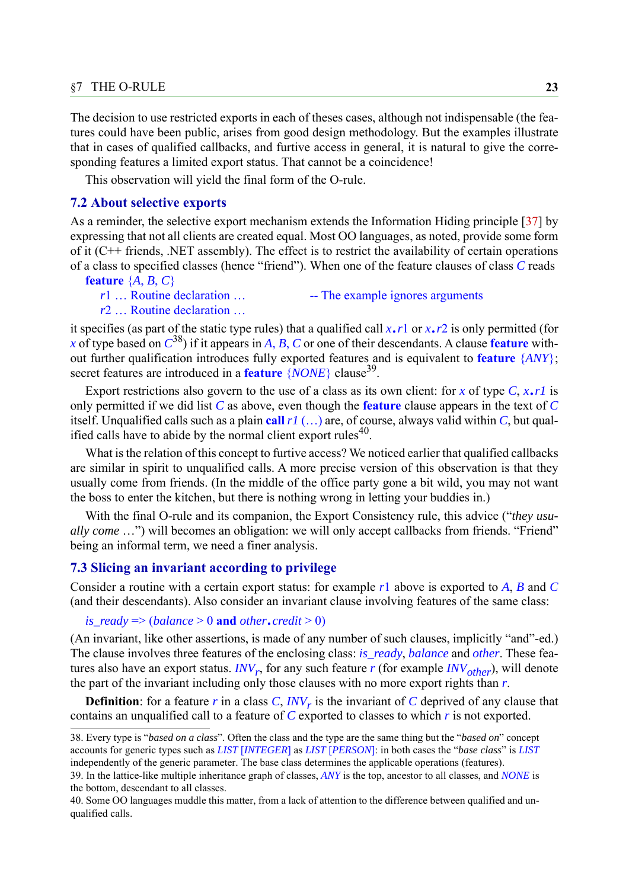The decision to use restricted exports in each of theses cases, although not indispensable (the features could have been public, arises from good design methodology. But the examples illustrate that in cases of qualified callbacks, and furtive access in general, it is natural to give the corresponding features a limited export status. That cannot be a coincidence!

This observation will yield the final form of the O-rule.

#### <span id="page-22-0"></span>**7.2 About selective exports**

As a reminder, the selective export mechanism extends the Information Hiding principle [[37\]](#page-40-11) by expressing that not all clients are created equal. Most OO languages, as noted, provide some form of it (C++ friends, .NET assembly). The effect is to restrict the availability of certain operations of a class to specified classes (hence "friend"). When one of the feature clauses of class *C* reads

**feature** {*A*, *B*, *C*}

*r*1 ... Routine declaration ... -- The example ignores arguments

*r*2 ... Routine declaration ...

it specifies (as part of the static type rules) that a qualified call *x*.*r*<sup>1</sup> or *x*.*r*<sup>2</sup> is only permitted (for *x* of type based on  $C^{38}$ ) if it appears in *A*, *B*, *C* or one of their descendants. A clause **feature** without further qualification introduces fully exported features and is equivalent to **feature** {*ANY*}; secret features are introduced in a **feature** {*NONE*} clause<sup>39</sup>.

Export restrictions also govern to the use of a class as its own client: for *x* of type  $C$ , *x*.*rl* is only permitted if we did list *C* as above, even though the **feature** clause appears in the text of *C* itself. Unqualified calls such as a plain call  $r1$  (...) are, of course, always valid within *C*, but qualified calls have to abide by the normal client export rules $40$ .

What is the relation of this concept to furtive access? We noticed earlier that qualified callbacks are similar in spirit to unqualified calls. A more precise version of this observation is that they usually come from friends. (In the middle of the office party gone a bit wild, you may not want the boss to enter the kitchen, but there is nothing wrong in letting your buddies in.)

With the final O-rule and its companion, the Export Consistency rule, this advice ("*they usually come* ...") will becomes an obligation: we will only accept callbacks from friends. "Friend" being an informal term, we need a finer analysis.

#### **7.3 Slicing an invariant according to privilege**

Consider a routine with a certain export status: for example *r*1 above is exported to *A*, *B* and *C* (and their descendants). Also consider an invariant clause involving features of the same class:

*is\_ready* => (*balance* > 0 **and** *other*.*credit* > 0)

(An invariant, like other assertions, is made of any number of such clauses, implicitly "and"-ed.) The clause involves three features of the enclosing class: *is\_ready*, *balance* and *other*. These features also have an export status.  $INV_r$ , for any such feature  $r$  (for example  $INV_{other}$ ), will denote the part of the invariant including only those clauses with no more export rights than *r*.

**Definition**: for a feature  $r$  in a class  $C$ ,  $INV_r$  is the invariant of  $C$  deprived of any clause that contains an unqualified call to a feature of *C* exported to classes to which *r* is not exported.

<span id="page-22-1"></span><sup>38.</sup> Every type is "*based on a class*". Often the class and the type are the same thing but the "*based on*" concept accounts for generic types such as *LIST* [*INTEGER*] as *LIST* [*PERSON*]: in both cases the "*base class*" is *LIST* independently of the generic parameter. The base class determines the applicable operations (features).

<sup>39.</sup> In the lattice-like multiple inheritance graph of classes, *ANY* is the top, ancestor to all classes, and *NONE* is the bottom, descendant to all classes.

<sup>40.</sup> Some OO languages muddle this matter, from a lack of attention to the difference between qualified and unqualified calls.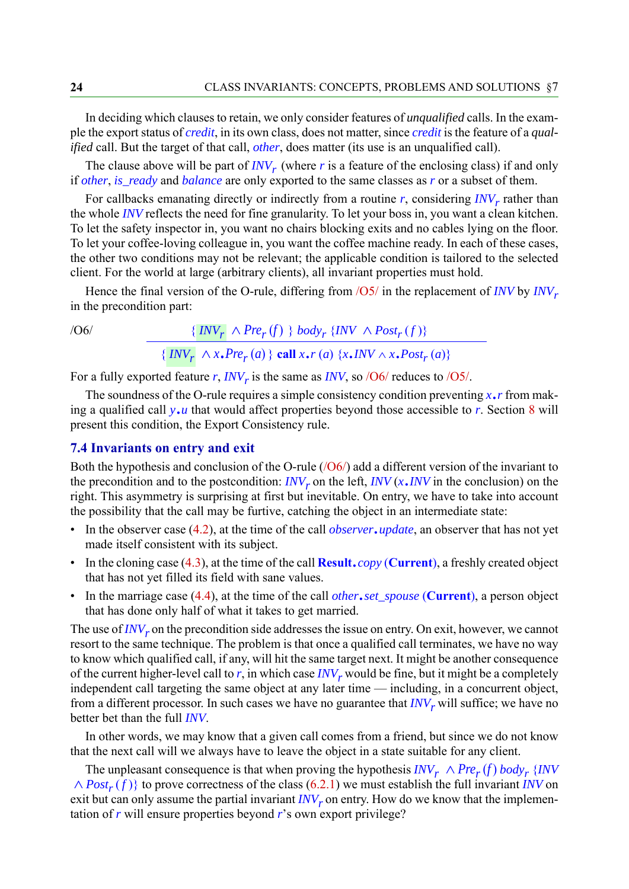In deciding which clauses to retain, we only consider features of *unqualified* calls. In the example the export status of *credit*, in its own class, does not matter, since *credit* is the feature of a *qualified* call. But the target of that call, *other*, does matter (its use is an unqualified call).

The clause above will be part of  $INV_r$  (where  $r$  is a feature of the enclosing class) if and only if *other*, *is\_ready* and *balance* are only exported to the same classes as *r* or a subset of them.

For callbacks emanating directly or indirectly from a routine *r*, considering *INV<sub>r</sub>* rather than the whole *INV* reflects the need for fine granularity. To let your boss in, you want a clean kitchen. To let the safety inspector in, you want no chairs blocking exits and no cables lying on the floor. To let your coffee-loving colleague in, you want the coffee machine ready. In each of these cases, the other two conditions may not be relevant; the applicable condition is tailored to the selected client. For the world at large (arbitrary clients), all invariant properties must hold.

Hence the final version of the O-rule, differing from  $\sqrt{OS}$  in the replacement of *INV* by *INV<sub>r</sub>* in the precondition part:

<span id="page-23-0"></span> $\{INV_{r} \wedge Pre_{r}(f) \}$  *body<sub>r</sub>* {*INV*  $\wedge Post_{r}(f)$ }  ${\frac{1}{2} \left[ \frac{INV_r}{r} \wedge x \cdot Pre_r(a) \}$  call  $x \cdot r(a) \{x \cdot \text{INV} \wedge x \cdot Post_r(a)\}}$ *INV<sub>r</sub>*  $\wedge$  *Pre<sub>r</sub>* (*f*) *INV<sub>r</sub>*  $\wedge x \cdot Pre_r(a)$ 

For a fully exported feature  $r$ ,  $INV_r$  is the same as  $INV$ , so  $/06/$  reduces to  $/05/$ .

The soundness of the O-rule requires a simple consistency condition preventing *x*.*r* from making a qualified call *y*.*u* that would affect properties beyond those accessible to *r*. Section [8](#page-27-0) will present this condition, the Export Consistency rule.

#### <span id="page-23-1"></span>**7.4 Invariants on entry and exit**

Both the hypothesis and conclusion of the O-rule  $/(O6/$ ) add a different version of the invariant to the precondition and to the postcondition:  $INV<sub>r</sub>$  on the left,  $INV(x,INV)$  in the conclusion) on the right. This asymmetry is surprising at first but inevitable. On entry, we have to take into account the possibility that the call may be furtive, catching the object in an intermediate state:

- In the observer case ([4.2\)](#page-9-0), at the time of the call *observer*.*update*, an observer that has not yet made itself consistent with its subject.
- In the cloning case ([4.3](#page-10-0)), at the time of the call **Result**.*copy* (**Current**), a freshly created object that has not yet filled its field with sane values.
- In the marriage case ([4.4\)](#page-11-0), at the time of the call *other*.*set\_spouse* (**Current**), a person object that has done only half of what it takes to get married.

The use of  $INV<sub>r</sub>$  on the precondition side addresses the issue on entry. On exit, however, we cannot resort to the same technique. The problem is that once a qualified call terminates, we have no way to know which qualified call, if any, will hit the same target next. It might be another consequence of the current higher-level call to  $r$ , in which case  $INV_r$  would be fine, but it might be a completely independent call targeting the same object at any later time — including, in a concurrent object, from a different processor. In such cases we have no guarantee that  $INV<sub>r</sub>$  will suffice; we have no better bet than the full *INV*.

In other words, we may know that a given call comes from a friend, but since we do not know that the next call will we always have to leave the object in a state suitable for any client.

The unpleasant consequence is that when proving the hypothesis  $INV_r \wedge Pre_r(f)$  *body<sub>r</sub>* {*INV*  $\land Post_r(f)$ } to prove correctness of the class ([6.2.1\)](#page-18-0) we must establish the full invariant *INV* on exit but can only assume the partial invariant  $INV_r$  on entry. How do we know that the implementation of *r* will ensure properties beyond *r*'s own export privilege?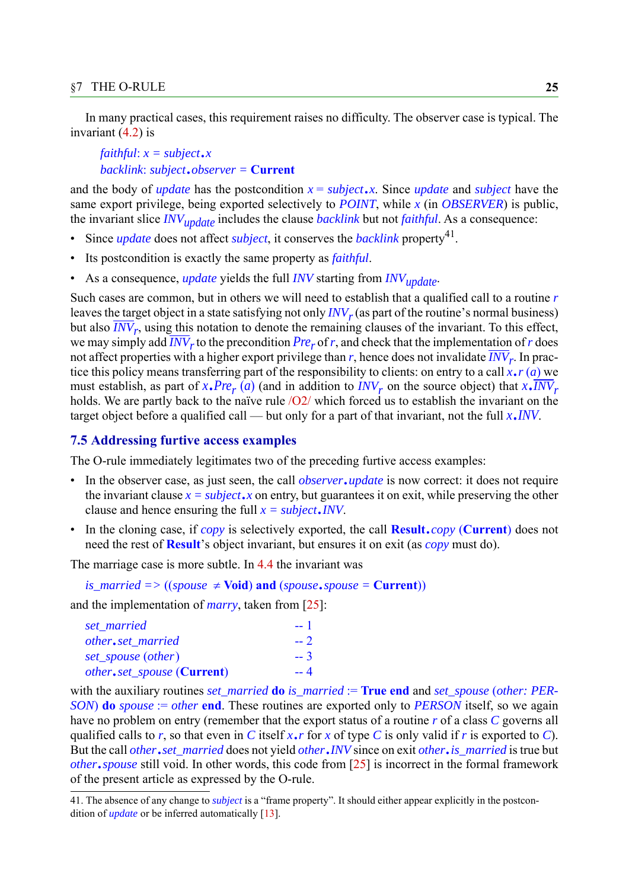In many practical cases, this requirement raises no difficulty. The observer case is typical. The invariant [\(4.2](#page-9-0)) is

*faithful*: *x = subject*.*<sup>x</sup> backlink*: *subject*.*observer =* **Current**

and the body of *update* has the postcondition  $x = subject \cdot x$ . Since *update* and *subject* have the same export privilege, being exported selectively to *POINT*, while *x* (in *OBSERVER*) is public, the invariant slice *INVupdate* includes the clause *backlink* but not *faithful*. As a consequence:

- Since *update* does not affect *subject*, it conserves the *backlink* property<sup>41</sup>.
- Its postcondition is exactly the same property as *faithful*.
- As a consequence, *update* yields the full *INV* starting from *INVupdate*.

Such cases are common, but in others we will need to establish that a qualified call to a routine *r* leaves the target object in a state satisfying not only  $INV_r$  (as part of the routine's normal business) but also *INV<sub>r</sub>*, using this notation to denote the remaining clauses of the invariant. To this effect, we may simply add  $INV_r$  to the precondition  $Pre_r$  of *r*, and check that the implementation of *r* does not affect properties with a higher export privilege than  $r$ , hence does not invalidate  $\overline{INV}_r$ . In practice this policy means transferring part of the responsibility to clients: on entry to a call *x*.*r* (*a*) we must establish, as part of  $x \cdot Pre_r(a)$  (and in addition to  $INV_r$  on the source object) that  $x \cdot INV_r$ holds. We are partly back to the naïve rule  $\sqrt{O2}$  which forced us to establish the invariant on the target object before a qualified call — but only for a part of that invariant, not the full *<sup>x</sup>*.*INV*.

#### <span id="page-24-0"></span>**7.5 Addressing furtive access examples**

The O-rule immediately legitimates two of the preceding furtive access examples:

- In the observer case, as just seen, the call *observer*.*update* is now correct: it does not require the invariant clause  $x = subject \cdot x$  on entry, but guarantees it on exit, while preserving the other clause and hence ensuring the full *x = subject*.*INV*.
- In the cloning case, if *copy* is selectively exported, the call **Result**.*copy* (**Current**) does not need the rest of **Result**'s object invariant, but ensures it on exit (as *copy* must do).

The marriage case is more subtle. In [4.4](#page-11-0) the invariant was

*is\_married* =>  $((spouse \neq **void**))$  **and**  $(spouse \cdot spouse = **Current**))$ 

and the implementation of *marry*, taken from [\[25](#page-39-3)]:

| set married                                | -- 1 |
|--------------------------------------------|------|
| other.set married                          | $-2$ |
| set_spouse (other)                         | $-3$ |
| <i>other.set_spouse</i> ( <b>Current</b> ) | $-4$ |

with the auxiliary routines *set\_married* **do** *is\_married* := **True end** and *set\_spouse* (*other: PER-SON*) **do** *spouse* := *other* **end**. These routines are exported only to *PERSON* itself, so we again have no problem on entry (remember that the export status of a routine *r* of a class *C* governs all qualified calls to *r*, so that even in *C* itself *x*.*r* for *x* of type *C* is only valid if *r* is exported to *C*). But the call *other*.*set\_married* does not yield *other*.*INV* since on exit *other*.*is\_married* is true but *other*.*spouse* still void. In other words, this code from [[25\]](#page-39-3) is incorrect in the formal framework of the present article as expressed by the O-rule.

<sup>41.</sup> The absence of any change to *subject* is a "frame property". It should either appear explicitly in the postcondition of *update* or be inferred automatically [[13](#page-39-17)].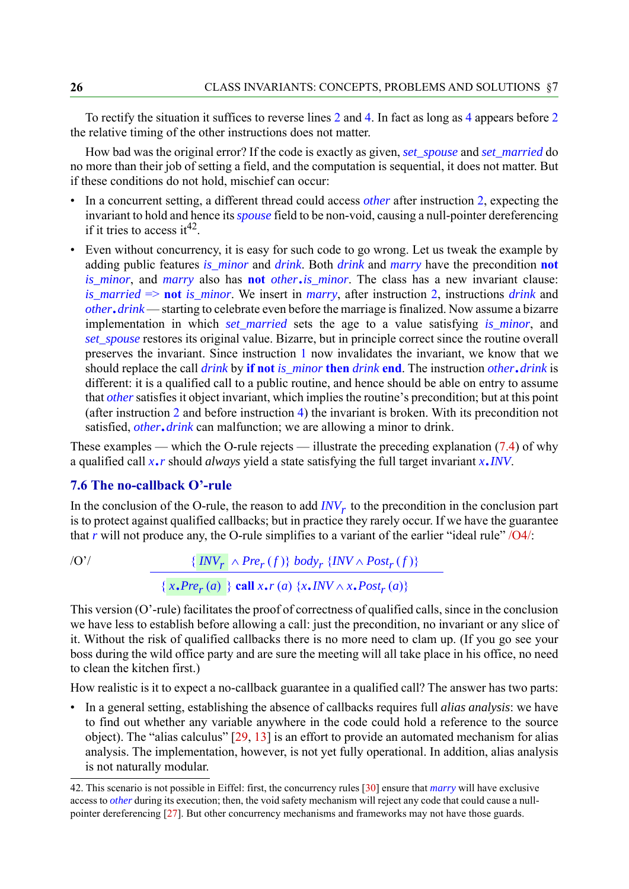To rectify the situation it suffices to reverse lines 2 and 4. In fact as long as 4 appears before 2 the relative timing of the other instructions does not matter.

How bad was the original error? If the code is exactly as given, *set\_spouse* and *set\_married* do no more than their job of setting a field, and the computation is sequential, it does not matter. But if these conditions do not hold, mischief can occur:

- In a concurrent setting, a different thread could access *other* after instruction 2, expecting the invariant to hold and hence its *spouse* field to be non-void, causing a null-pointer dereferencing if it tries to access it  $42$ .
- Even without concurrency, it is easy for such code to go wrong. Let us tweak the example by adding public features *is\_minor* and *drink*. Both *drink* and *marry* have the precondition **not** *is\_minor*, and *marry* also has **not** *other*.*is\_minor*. The class has a new invariant clause: *is\_married* => **not** *is\_minor*. We insert in *marry*, after instruction 2, instructions *drink* and *other*.*drink* — starting to celebrate even before the marriage is finalized. Now assume a bizarre implementation in which *set\_married* sets the age to a value satisfying *is\_minor*, and *set\_spouse* restores its original value. Bizarre, but in principle correct since the routine overall preserves the invariant. Since instruction 1 now invalidates the invariant, we know that we should replace the call *drink* by **if not** *is\_minor* **then** *drink* **end**. The instruction *other*.*drink* is different: it is a qualified call to a public routine, and hence should be able on entry to assume that *other* satisfies it object invariant, which implies the routine's precondition; but at this point (after instruction 2 and before instruction 4) the invariant is broken. With its precondition not satisfied, *other*.*drink* can malfunction; we are allowing a minor to drink.

These examples — which the O-rule rejects — illustrate the preceding explanation ([7.4\)](#page-23-1) of why a qualified call *x*.*r* should *always* yield a state satisfying the full target invariant *x*.*INV*.

#### <span id="page-25-0"></span>**7.6 The no-callback O'-rule**

In the conclusion of the O-rule, the reason to add  $INV<sub>r</sub>$  to the precondition in the conclusion part is to protect against qualified callbacks; but in practice they rarely occur. If we have the guarantee that *r* will not produce any, the O-rule simplifies to a variant of the earlier "ideal rule" [/O4/:](#page-19-1)

 $\{INV_r \wedge Pre_r(f)\}$  *body<sub>r</sub>*  $\{INV_r \wedge Post_r(f)\}$  ${x, Pre<sub>r</sub>(a)}$  { $x, I\infty$  *x*.*r*(*a*) { $x, INV \wedge x, Post<sub>r</sub>(a)$ }

This version (O'-rule) facilitates the proof of correctness of qualified calls, since in the conclusion we have less to establish before allowing a call: just the precondition, no invariant or any slice of it. Without the risk of qualified callbacks there is no more need to clam up. (If you go see your boss during the wild office party and are sure the meeting will all take place in his office, no need to clean the kitchen first.)

How realistic is it to expect a no-callback guarantee in a qualified call? The answer has two parts:

• In a general setting, establishing the absence of callbacks requires full *alias analysis*: we have to find out whether any variable anywhere in the code could hold a reference to the source object). The "alias calculus" [[29,](#page-40-12) [13\]](#page-39-17) is an effort to provide an automated mechanism for alias analysis. The implementation, however, is not yet fully operational. In addition, alias analysis is not naturally modular.

<sup>42.</sup> This scenario is not possible in Eiffel: first, the concurrency rules [[30\]](#page-40-7) ensure that *marry* will have exclusive access to *other* during its execution; then, the void safety mechanism will reject any code that could cause a nullpointer dereferencing [\[27](#page-40-8)]. But other concurrency mechanisms and frameworks may not have those guards.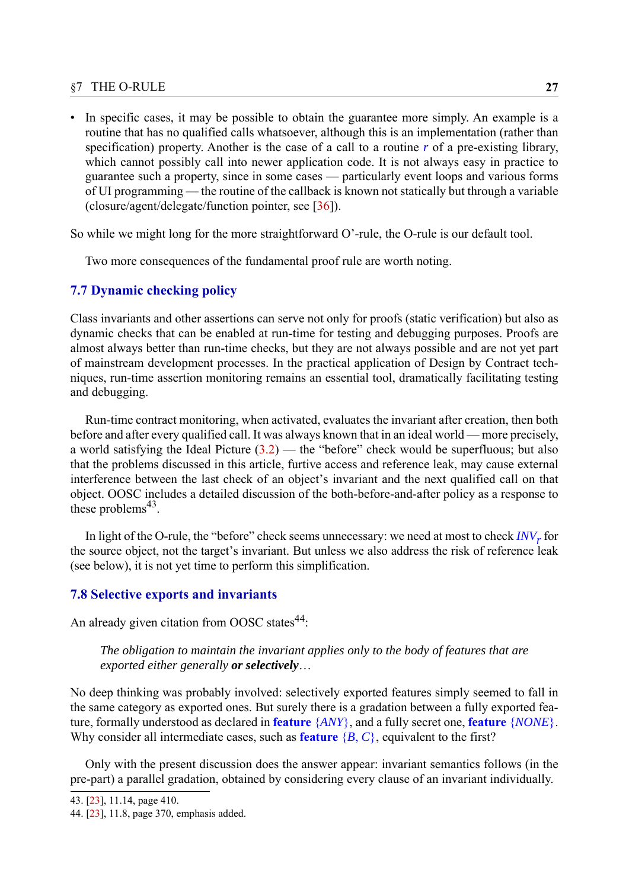#### §7 THE O-RULE **27**

• In specific cases, it may be possible to obtain the guarantee more simply. An example is a routine that has no qualified calls whatsoever, although this is an implementation (rather than specification) property. Another is the case of a call to a routine *r* of a pre-existing library, which cannot possibly call into newer application code. It is not always easy in practice to guarantee such a property, since in some cases — particularly event loops and various forms of UI programming — the routine of the callback is known not statically but through a variable (closure/agent/delegate/function pointer, see [\[36](#page-40-13)]).

So while we might long for the more straightforward O'-rule, the O-rule is our default tool.

Two more consequences of the fundamental proof rule are worth noting.

#### <span id="page-26-0"></span>**7.7 Dynamic checking policy**

Class invariants and other assertions can serve not only for proofs (static verification) but also as dynamic checks that can be enabled at run-time for testing and debugging purposes. Proofs are almost always better than run-time checks, but they are not always possible and are not yet part of mainstream development processes. In the practical application of Design by Contract techniques, run-time assertion monitoring remains an essential tool, dramatically facilitating testing and debugging.

Run-time contract monitoring, when activated, evaluates the invariant after creation, then both before and after every qualified call. It was always known that in an ideal world — more precisely, a world satisfying the Ideal Picture  $(3.2)$  $(3.2)$  — the "before" check would be superfluous; but also that the problems discussed in this article, furtive access and reference leak, may cause external interference between the last check of an object's invariant and the next qualified call on that object. OOSC includes a detailed discussion of the both-before-and-after policy as a response to these problems $43$ .

In light of the O-rule, the "before" check seems unnecessary: we need at most to check *INV<sub>r</sub>* for the source object, not the target's invariant. But unless we also address the risk of reference leak (see below), it is not yet time to perform this simplification.

#### **7.8 Selective exports and invariants**

An already given citation from OOSC states<sup>44</sup>:

#### *The obligation to maintain the invariant applies only to the body of features that are exported either generally or selectively*

No deep thinking was probably involved: selectively exported features simply seemed to fall in the same category as exported ones. But surely there is a gradation between a fully exported feature, formally understood as declared in **feature** {*ANY*}, and a fully secret one, **feature** {*NONE*}. Why consider all intermediate cases, such as **feature** {*B*, *C*}, equivalent to the first?

Only with the present discussion does the answer appear: invariant semantics follows (in the pre-part) a parallel gradation, obtained by considering every clause of an invariant individually.

<sup>43. [</sup>[23\]](#page-39-10), 11.14, page 410.

<sup>44. [</sup>[23\]](#page-39-10), 11.8, page 370, emphasis added.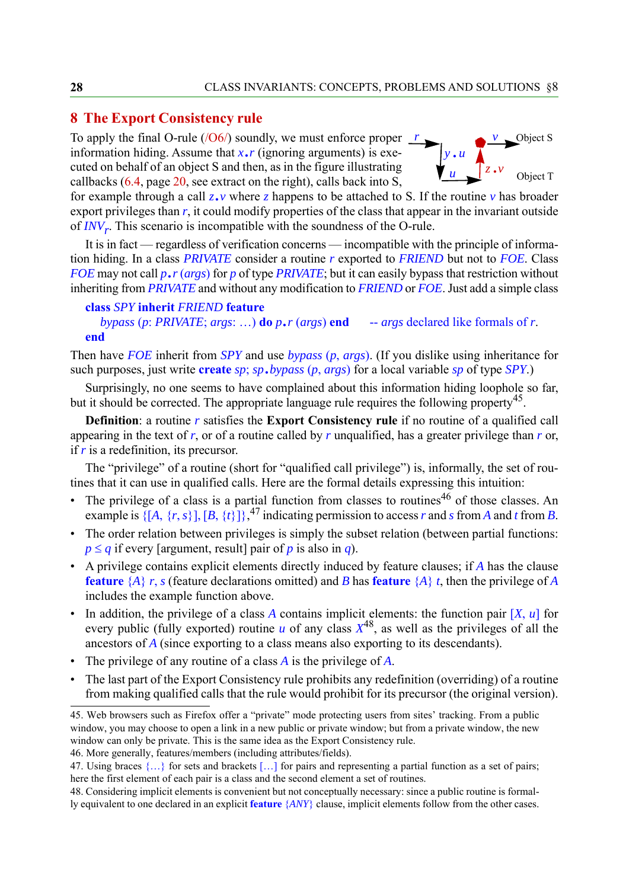#### <span id="page-27-0"></span>**8 The Export Consistency rule**

To apply the final O-rule ( $\sqrt{O(6)}$ ) soundly, we must enforce proper  $\frac{r}{\sqrt{O(1)}}$ information hiding. Assume that  $x \cdot r$  (ignoring arguments) is executed on behalf of an object S and then, as in the figure illustrating callbacks ([6.4,](#page-19-0) page [20,](#page-19-2) see extract on the right), calls back into S,



for example through a call  $z \cdot v$  where z happens to be attached to S. If the routine  $v$  has broader export privileges than *r*, it could modify properties of the class that appear in the invariant outside of *INVr*. This scenario is incompatible with the soundness of the O-rule.

It is in fact — regardless of verification concerns — incompatible with the principle of information hiding. In a class *PRIVATE* consider a routine *r* exported to *FRIEND* but not to *FOE*. Class *FOE* may not call *p*.*r* (*args*) for *p* of type *PRIVATE*; but it can easily bypass that restriction without inheriting from *PRIVATE* and without any modification to *FRIEND* or *FOE*. Just add a simple class

```
class SPY inherit FRIEND feature
  bypass (p: PRIVATE; args: ...) do p.r (args) end -- args declared like formals of r.
end
```
Then have *FOE* inherit from *SPY* and use *bypass* (*p*, *args*). (If you dislike using inheritance for such purposes, just write **create** *sp*; *sp*.*bypass* (*p*, *args*) for a local variable *sp* of type *SPY*.)

Surprisingly, no one seems to have complained about this information hiding loophole so far, but it should be corrected. The appropriate language rule requires the following property<sup>45</sup>.

**Definition**: a routine *r* satisfies the **Export Consistency rule** if no routine of a qualified call appearing in the text of *r*, or of a routine called by *r* unqualified, has a greater privilege than *r* or, if *r* is a redefinition, its precursor.

The "privilege" of a routine (short for "qualified call privilege") is, informally, the set of routines that it can use in qualified calls. Here are the formal details expressing this intuition:

- The privilege of a class is a partial function from classes to routines<sup>46</sup> of those classes. An example is  $\{[A, \{r, s\}], [B, \{t\}]\}$ , <sup>47</sup> indicating permission to access *r* and *s* from *A* and *t* from *B*.
- The order relation between privileges is simply the subset relation (between partial functions:  $p \leq q$  if every [argument, result] pair of *p* is also in *q*).
- A privilege contains explicit elements directly induced by feature clauses; if *A* has the clause **feature** {*A*} *r*, *s* (feature declarations omitted) and *B* has **feature** {*A*} *t*, then the privilege of *A* includes the example function above.
- In addition, the privilege of a class *A* contains implicit elements: the function pair [*X*, *u*] for every public (fully exported) routine  $u$  of any class  $X^{48}$ , as well as the privileges of all the ancestors of *A* (since exporting to a class means also exporting to its descendants).
- The privilege of any routine of a class *A* is the privilege of *A*.
- The last part of the Export Consistency rule prohibits any redefinition (overriding) of a routine from making qualified calls that the rule would prohibit for its precursor (the original version).

46. More generally, features/members (including attributes/fields).

<sup>45.</sup> Web browsers such as Firefox offer a "private" mode protecting users from sites' tracking. From a public window, you may choose to open a link in a new public or private window; but from a private window, the new window can only be private. This is the same idea as the Export Consistency rule.

<sup>47.</sup> Using braces  $\{...\}$  for sets and brackets  $[...]$  for pairs and representing a partial function as a set of pairs; here the first element of each pair is a class and the second element a set of routines.

<sup>48.</sup> Considering implicit elements is convenient but not conceptually necessary: since a public routine is formally equivalent to one declared in an explicit **feature** {*ANY*} clause, implicit elements follow from the other cases.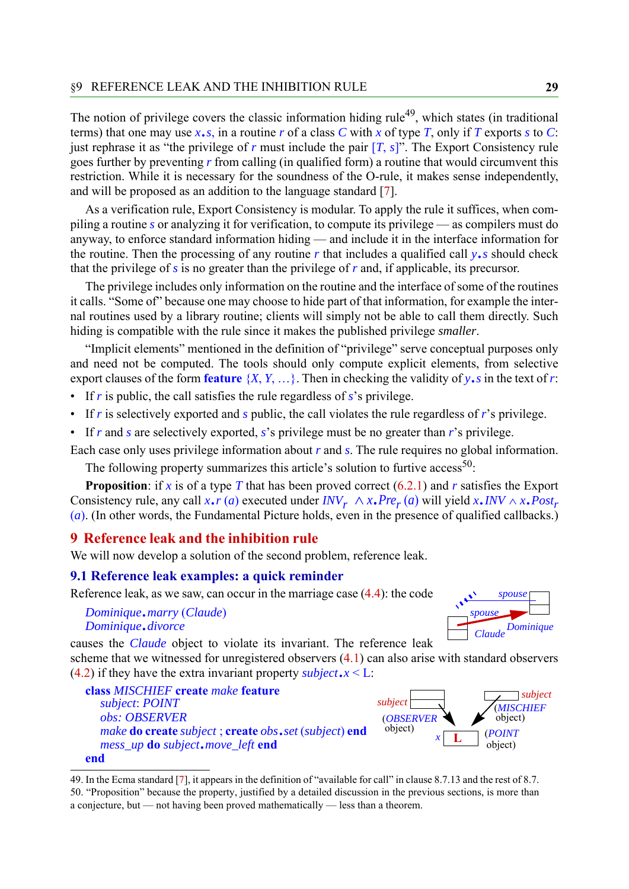The notion of privilege covers the classic information hiding rule<sup>49</sup>, which states (in traditional terms) that one may use  $x \cdot s$ , in a routine *r* of a class *C* with *x* of type *T*, only if *T* exports *s* to *C*: just rephrase it as "the privilege of *r* must include the pair [*T*, *s*]". The Export Consistency rule goes further by preventing *r* from calling (in qualified form) a routine that would circumvent this restriction. While it is necessary for the soundness of the O-rule, it makes sense independently, and will be proposed as an addition to the language standard [\[7](#page-38-6)].

As a verification rule, Export Consistency is modular. To apply the rule it suffices, when compiling a routine *s* or analyzing it for verification, to compute its privilege — as compilers must do anyway, to enforce standard information hiding — and include it in the interface information for the routine. Then the processing of any routine *r* that includes a qualified call *y*.*s* should check that the privilege of *s* is no greater than the privilege of *r* and, if applicable, its precursor.

The privilege includes only information on the routine and the interface of some of the routines it calls. "Some of" because one may choose to hide part of that information, for example the internal routines used by a library routine; clients will simply not be able to call them directly. Such hiding is compatible with the rule since it makes the published privilege *smaller*.

"Implicit elements" mentioned in the definition of "privilege" serve conceptual purposes only and need not be computed. The tools should only compute explicit elements, from selective export clauses of the form **feature**  $\{X, Y, \ldots\}$ . Then in checking the validity of  $y \cdot s$  in the text of *r*:

- If *r* is public, the call satisfies the rule regardless of *s*'s privilege.
- If *r* is selectively exported and *s* public, the call violates the rule regardless of *r*'s privilege.
- If *r* and *s* are selectively exported, *s*'s privilege must be no greater than *r*'s privilege.

Each case only uses privilege information about *r* and *s*. The rule requires no global information.

The following property summarizes this article's solution to furtive  $\arccos^{50}$ :

**Proposition**: if *x* is of a type *T* that has been proved correct [\(6.2.1](#page-18-0)) and *r* satisfies the Export Consistency rule, any call  $x \cdot r$  (*a*) executed under  $INV_r \wedge x \cdot Pre_r(a)$  will yield  $x \cdot INV \wedge x \cdot Post_r$ (*a*). (In other words, the Fundamental Picture holds, even in the presence of qualified callbacks.)

#### <span id="page-28-0"></span>**9 Reference leak and the inhibition rule**

We will now develop a solution of the second problem, reference leak.

#### <span id="page-28-2"></span>**9.1 Reference leak examples: a quick reminder**

Reference leak, as we saw, can occur in the marriage case [\(4.4](#page-11-0)): the code

*Dominique*.*marry* (*Claude*) *Dominique*.*divorce*



causes the *Claude* object to violate its invariant. The reference leak

scheme that we witnessed for unregistered observers ([4.1\)](#page-8-1) can also arise with standard observers ([4.2\)](#page-9-0) if they have the extra invariant property *subject*. $x \leq L$ :





<span id="page-28-1"></span><sup>49.</sup> In the Ecma standard [[7](#page-38-6)], it appears in the definition of "available for call" in clause 8.7.13 and the rest of 8.7. 50. "Proposition" because the property, justified by a detailed discussion in the previous sections, is more than a conjecture, but — not having been proved mathematically — less than a theorem.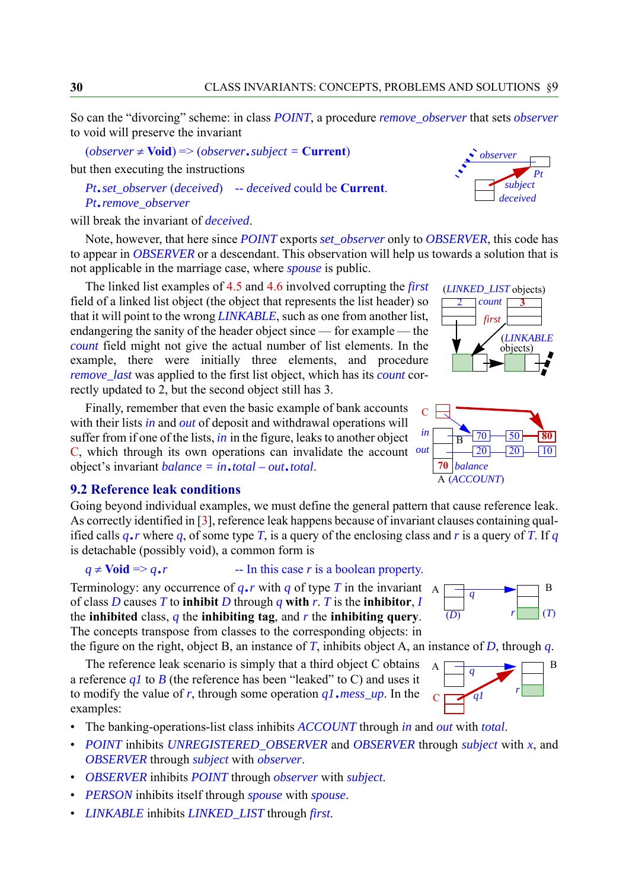So can the "divorcing" scheme: in class *POINT*, a procedure *remove\_observer* that sets *observer* to void will preserve the invariant

 $(observer \neq \text{void}) \Rightarrow (observer \cdot subject = \text{Current})$ 

but then executing the instructions

*Pt*.*set\_observer* (*deceived*) -- *deceived* could be **Current**. *Pt*.*remove\_observer*

will break the invariant of *deceived*.

Note, however, that here since *POINT* exports *set\_observer* only to *OBSERVER*, this code has to appear in *OBSERVER* or a descendant. This observation will help us towards a solution that is not applicable in the marriage case, where *spouse* is public.

The linked list examples of [4.5](#page-13-0) and [4.6](#page-14-0) involved corrupting the *first* field of a linked list object (the object that represents the list header) so that it will point to the wrong *LINKABLE*, such as one from another list, endangering the sanity of the header object since — for example — the *count* field might not give the actual number of list elements. In the example, there were initially three elements, and procedure *remove\_last* was applied to the first list object, which has its *count* correctly updated to 2, but the second object still has 3.

Finally, remember that even the basic example of bank accounts with their lists *in* and *out* of deposit and withdrawal operations will suffer from if one of the lists, *in* in the figure, leaks to another object C, which through its own operations can invalidate the account *out* object's invariant *balance = in*.*total – out*.*total*.

#### **9.2 Reference leak conditions**

Going beyond individual examples, we must define the general pattern that cause reference leak. As correctly identified in [[3\]](#page-38-0), reference leak happens because of invariant clauses containing qualified calls  $q \cdot r$  where  $q$ , of some type  $T$ , is a query of the enclosing class and  $r$  is a query of  $T$ . If  $q$ is detachable (possibly void), a common form is

 $q \neq$  Void =>  $q \cdot r$  -- In this case *r* is a boolean property.

Terminology: any occurrence of  $q \cdot r$  with  $q$  of type  $T$  in the invariant A of class *D* causes *T* to **inhibit** *D* through *q* **with** *r*. *T* is the **inhibitor**, *I* the **inhibited** class, *q* the **inhibiting tag**, and *r* the **inhibiting query**. The concepts transpose from classes to the corresponding objects: in

the figure on the right, object B, an instance of  $T$ , inhibits object A, an instance of  $D$ , through  $q$ .

The reference leak scenario is simply that a third object C obtains a reference  $qI$  to *B* (the reference has been "leaked" to C) and uses it to modify the value of *r*, through some operation *q1*.*mess\_up*. In the examples:

- The banking-operations-list class inhibits *ACCOUNT* through *in* and *out* with *total*.
- *POINT* inhibits *UNREGISTERED\_OBSERVER* and *OBSERVER* through *subject* with *x*, and *OBSERVER* through *subject* with *observer*.
- *OBSERVER* inhibits *POINT* through *observer* with *subject*.
- *PERSON* inhibits itself through *spouse* with *spouse*.
- *LINKABLE* inhibits *LINKED\_LIST* through *first*.









 $\overline{(D)}$   $r \equiv (T)$ 

*r*

B

 $A \Box q$ 

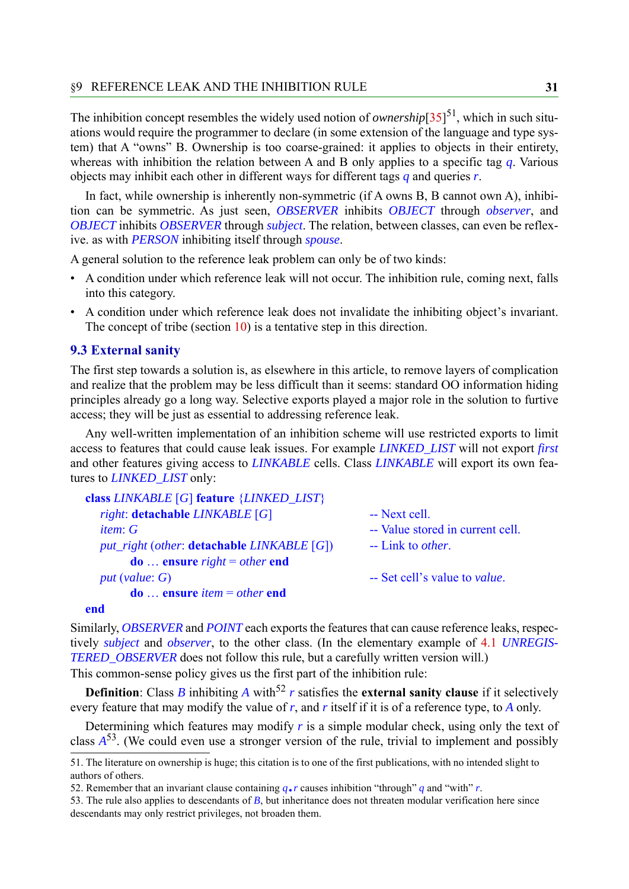The inhibition concept resembles the widely used notion of *ownership* $[35]^{51}$  $[35]^{51}$  $[35]^{51}$ , which in such situations would require the programmer to declare (in some extension of the language and type system) that A "owns" B. Ownership is too coarse-grained: it applies to objects in their entirety, whereas with inhibition the relation between A and B only applies to a specific tag *q*. Various objects may inhibit each other in different ways for different tags *q* and queries *r*.

In fact, while ownership is inherently non-symmetric (if A owns B, B cannot own A), inhibition can be symmetric. As just seen, *OBSERVER* inhibits *OBJECT* through *observer*, and *OBJECT* inhibits *OBSERVER* through *subject*. The relation, between classes, can even be reflexive. as with *PERSON* inhibiting itself through *spouse*.

A general solution to the reference leak problem can only be of two kinds:

- A condition under which reference leak will not occur. The inhibition rule, coming next, falls into this category.
- A condition under which reference leak does not invalidate the inhibiting object's invariant. The concept of tribe (section [10\)](#page-36-0) is a tentative step in this direction.

#### **9.3 External sanity**

The first step towards a solution is, as elsewhere in this article, to remove layers of complication and realize that the problem may be less difficult than it seems: standard OO information hiding principles already go a long way. Selective exports played a major role in the solution to furtive access; they will be just as essential to addressing reference leak.

Any well-written implementation of an inhibition scheme will use restricted exports to limit access to features that could cause leak issues. For example *LINKED\_LIST* will not export *first* and other features giving access to *LINKABLE* cells. Class *LINKABLE* will export its own features to *LINKED\_LIST* only:

```
class LINKABLE [G] feature {LINKED_LIST}
  right: detachable LINKABLE [G] -- Next cell.
  item: G -- Value stored in current cell.
 put_right (other: detachable LINKABLE [G]) -- Link to other.
      do ensure right = other end
 put (value: G) -- Set cell's value to value.
      do ensure item = other end
```
#### **end**

Similarly, *OBSERVER* and *POINT* each exports the features that can cause reference leaks, respectively *subject* and *observer*, to the other class. (In the elementary example of [4.1](#page-8-1) *UNREGIS-TERED\_OBSERVER* does not follow this rule, but a carefully written version will.) This common-sense policy gives us the first part of the inhibition rule:

**Definition**: Class *B* inhibiting *A* with<sup>52</sup> *r* satisfies the **external sanity clause** if it selectively every feature that may modify the value of *r*, and *r* itself if it is of a reference type, to *A* only.

Determining which features may modify  $r$  is a simple modular check, using only the text of class *A*53. (We could even use a stronger version of the rule, trivial to implement and possibly

<sup>51.</sup> The literature on ownership is huge; this citation is to one of the first publications, with no intended slight to authors of others.

<sup>52.</sup> Remember that an invariant clause containing  $q \cdot r$  causes inhibition "through" *q* and "with" *r*.

<sup>53.</sup> The rule also applies to descendants of *B*, but inheritance does not threaten modular verification here since descendants may only restrict privileges, not broaden them.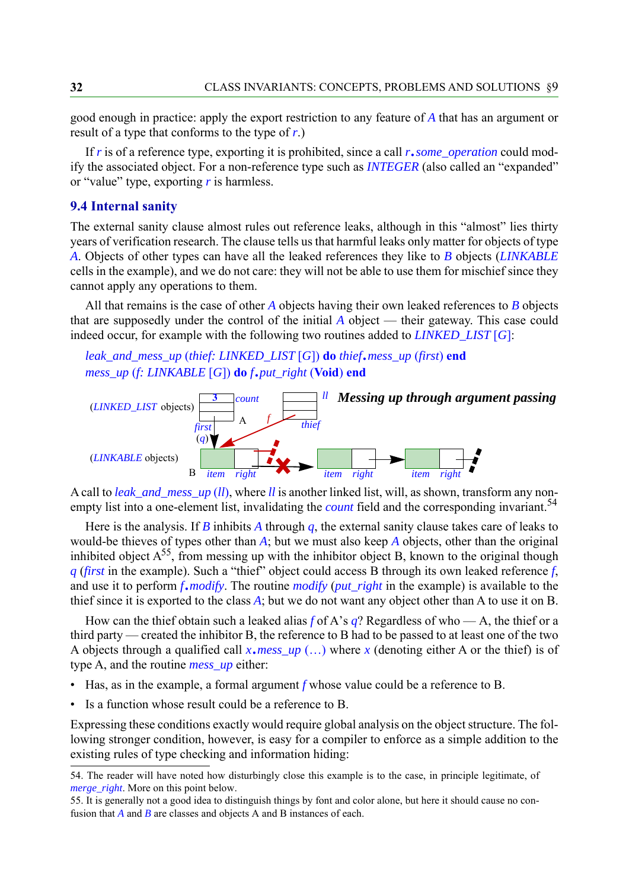good enough in practice: apply the export restriction to any feature of *A* that has an argument or result of a type that conforms to the type of *r*.)

If *r* is of a reference type, exporting it is prohibited, since a call *r*.*some\_operation* could modify the associated object. For a non-reference type such as *INTEGER* (also called an "expanded" or "value" type, exporting *r* is harmless.

#### <span id="page-31-0"></span>**9.4 Internal sanity**

The external sanity clause almost rules out reference leaks, although in this "almost" lies thirty years of verification research. The clause tells us that harmful leaks only matter for objects of type *A*. Objects of other types can have all the leaked references they like to *B* objects (*LINKABLE* cells in the example), and we do not care: they will not be able to use them for mischief since they cannot apply any operations to them.

All that remains is the case of other *A* objects having their own leaked references to *B* objects that are supposedly under the control of the initial *A* object — their gateway. This case could indeed occur, for example with the following two routines added to *LINKED\_LIST* [*G*]:

*leak\_and\_mess\_up* (*thief: LINKED\_LIST* [*G*]) **do** *thief*.*mess\_up* (*first*) **end** *mess\_up* (*f: LINKABLE* [*G*]) **do** *f*.*put\_right* (**Void**) **end**



A call to *leak\_and\_mess\_up* (*ll*), where *ll* is another linked list, will, as shown, transform any nonempty list into a one-element list, invalidating the *count* field and the corresponding invariant.<sup>54</sup>

Here is the analysis. If *B* inhibits *A* through *q*, the external sanity clause takes care of leaks to would-be thieves of types other than *A*; but we must also keep *A* objects, other than the original inhibited object  $A^{55}$ , from messing up with the inhibitor object B, known to the original though *q* (*first* in the example). Such a "thief" object could access B through its own leaked reference *f*, and use it to perform *f*.*modify*. The routine *modify* (*put\_right* in the example) is available to the thief since it is exported to the class *A*; but we do not want any object other than A to use it on B.

How can the thief obtain such a leaked alias  $f$  of A's  $q$ ? Regardless of who — A, the thief or a third party — created the inhibitor B, the reference to B had to be passed to at least one of the two A objects through a qualified call  $x \cdot \text{mess\_up } (...)$  where  $x$  (denoting either A or the thief) is of type A, and the routine *mess\_up* either:

- Has, as in the example, a formal argument *f* whose value could be a reference to B.
- Is a function whose result could be a reference to B.

Expressing these conditions exactly would require global analysis on the object structure. The following stronger condition, however, is easy for a compiler to enforce as a simple addition to the existing rules of type checking and information hiding:

<sup>54.</sup> The reader will have noted how disturbingly close this example is to the case, in principle legitimate, of *merge\_right*. More on this point below.

<sup>55.</sup> It is generally not a good idea to distinguish things by font and color alone, but here it should cause no confusion that *A* and *B* are classes and objects A and B instances of each.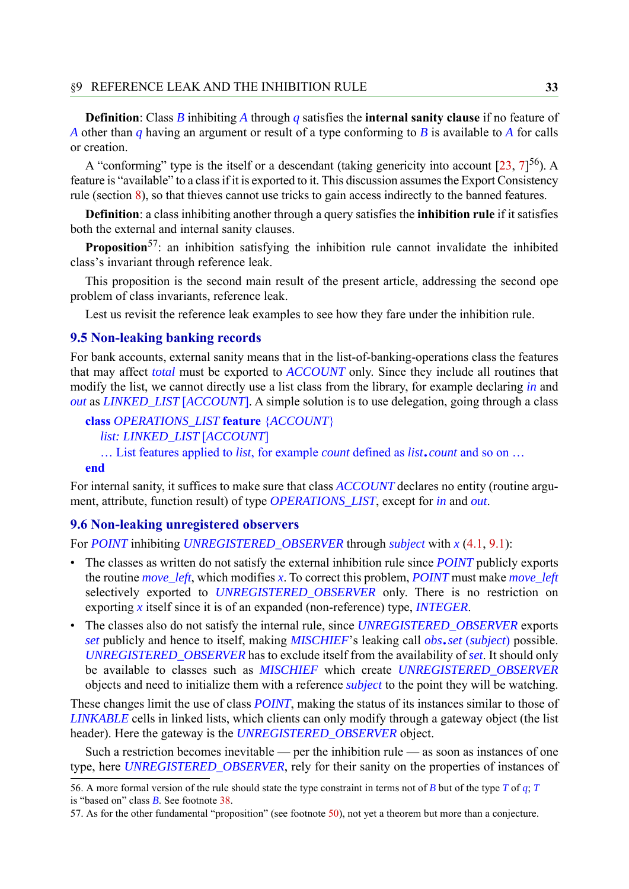**Definition**: Class *B* inhibiting *A* through *q* satisfies the **internal sanity clause** if no feature of *A* other than *q* having an argument or result of a type conforming to *B* is available to *A* for calls or creation.

A "conforming" type is the itself or a descendant (taking genericity into account [[23,](#page-39-10) [7](#page-38-6)]<sup>56</sup>). A feature is "available" to a class if it is exported to it. This discussion assumes the Export Consistency rule (section [8\)](#page-27-0), so that thieves cannot use tricks to gain access indirectly to the banned features.

**Definition**: a class inhibiting another through a query satisfies the **inhibition rule** if it satisfies both the external and internal sanity clauses.

**Proposition**<sup>57</sup>: an inhibition satisfying the inhibition rule cannot invalidate the inhibited class's invariant through reference leak.

This proposition is the second main result of the present article, addressing the second ope problem of class invariants, reference leak.

Lest us revisit the reference leak examples to see how they fare under the inhibition rule.

#### **9.5 Non-leaking banking records**

For bank accounts, external sanity means that in the list-of-banking-operations class the features that may affect *total* must be exported to *ACCOUNT* only. Since they include all routines that modify the list, we cannot directly use a list class from the library, for example declaring *in* and *out* as *LINKED\_LIST* [*ACCOUNT*]. A simple solution is to use delegation, going through a class

**class** *OPERATIONS\_LIST* **feature** {*ACCOUNT*} *list: LINKED\_LIST* [*ACCOUNT*] List features applied to *list*, for example *count* defined as *list*.*count* and so on

**end**

For internal sanity, it suffices to make sure that class *ACCOUNT* declares no entity (routine argument, attribute, function result) of type *OPERATIONS\_LIST*, except for *in* and *out*.

#### **9.6 Non-leaking unregistered observers**

For *POINT* inhibiting *UNREGISTERED\_OBSERVER* through *subject* with *x* [\(4.1](#page-8-1), [9.1](#page-28-2)):

- The classes as written do not satisfy the external inhibition rule since *POINT* publicly exports the routine *move\_left*, which modifies *x*. To correct this problem, *POINT* must make *move\_left* selectively exported to *UNREGISTERED\_OBSERVER* only. There is no restriction on exporting *x* itself since it is of an expanded (non-reference) type, *INTEGER*.
- The classes also do not satisfy the internal rule, since *UNREGISTERED\_OBSERVER* exports *set* publicly and hence to itself, making *MISCHIEF*'s leaking call *obs*.*set* (*subject*) possible. *UNREGISTERED\_OBSERVER* has to exclude itself from the availability of *set*. It should only be available to classes such as *MISCHIEF* which create *UNREGISTERED\_OBSERVER* objects and need to initialize them with a reference *subject* to the point they will be watching.

These changes limit the use of class *POINT*, making the status of its instances similar to those of *LINKABLE* cells in linked lists, which clients can only modify through a gateway object (the list header). Here the gateway is the *UNREGISTERED\_OBSERVER* object.

Such a restriction becomes inevitable — per the inhibition rule — as soon as instances of one type, here *UNREGISTERED\_OBSERVER*, rely for their sanity on the properties of instances of

<sup>56.</sup> A more formal version of the rule should state the type constraint in terms not of *B* but of the type *T* of  $q$ ; *T* is "based on" class *B*. See footnote [38](#page-22-1).

<sup>57.</sup> As for the other fundamental "proposition" (see footnote [50\)](#page-28-1), not yet a theorem but more than a conjecture.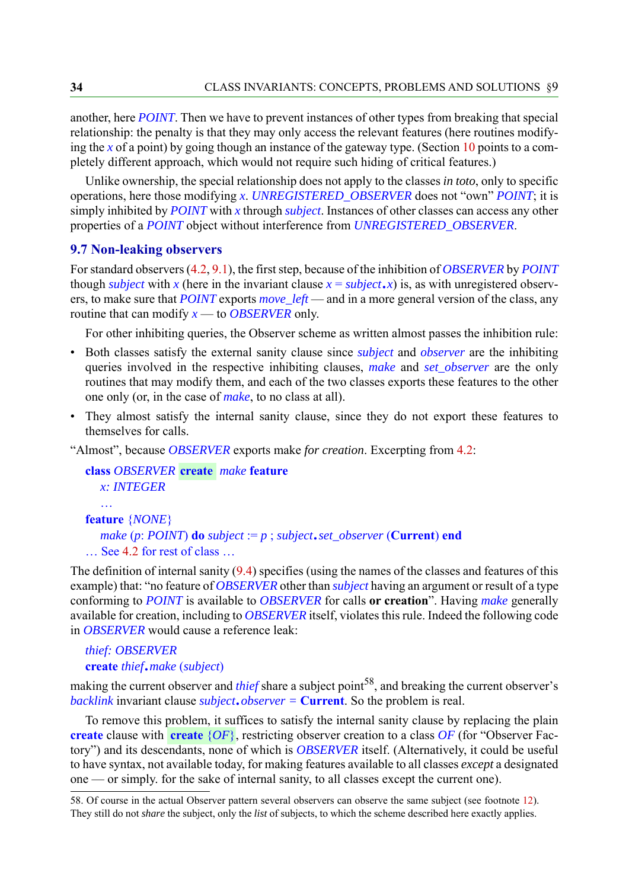another, here *POINT*. Then we have to prevent instances of other types from breaking that special relationship: the penalty is that they may only access the relevant features (here routines modifying the *x* of a point) by going though an instance of the gateway type. (Section [10](#page-36-0) points to a completely different approach, which would not require such hiding of critical features.)

Unlike ownership, the special relationship does not apply to the classes *in toto*, only to specific operations, here those modifying *x*. *UNREGISTERED\_OBSERVER* does not "own" *POINT*; it is simply inhibited by *POINT* with *x* through *subject*. Instances of other classes can access any other properties of a *POINT* object without interference from *UNREGISTERED\_OBSERVER*.

#### **9.7 Non-leaking observers**

For standard observers ([4.2,](#page-9-0) [9.1\)](#page-28-2), the first step, because of the inhibition of *OBSERVER* by *POINT* though *subject* with *x* (here in the invariant clause  $x = subject(x)$  is, as with unregistered observers, to make sure that *POINT* exports *move\_left* — and in a more general version of the class, any routine that can modify *x* — to *OBSERVER* only.

For other inhibiting queries, the Observer scheme as written almost passes the inhibition rule:

- Both classes satisfy the external sanity clause since *subject* and *observer* are the inhibiting queries involved in the respective inhibiting clauses, *make* and *set\_observer* are the only routines that may modify them, and each of the two classes exports these features to the other one only (or, in the case of *make*, to no class at all).
- They almost satisfy the internal sanity clause, since they do not export these features to themselves for calls.

"Almost", because *OBSERVER* exports make *for creation*. Excerpting from [4.2:](#page-9-0)

```
class OBSERVER create make feature
  x: INTEGER
  a sa
feature {NONE}
  make (p: POINT) do subject := p ; subject.set_observer (Current) end
\ldots 4.2 for rest of class \ldots
```
The definition of internal sanity ([9.4\)](#page-31-0) specifies (using the names of the classes and features of this example) that: "no feature of *OBSERVER* other than *subject* having an argument or result of a type conforming to *POINT* is available to *OBSERVER* for calls **or creation**". Having *make* generally available for creation, including to *OBSERVER* itself, violates this rule. Indeed the following code in *OBSERVER* would cause a reference leak:

#### *thief: OBSERVER* **create** *thief*.*make* (*subject*)

making the current observer and *thief* share a subject point<sup>58</sup>, and breaking the current observer's *backlink* invariant clause *subject*.*observer =* **Current**. So the problem is real.

To remove this problem, it suffices to satisfy the internal sanity clause by replacing the plain **create** clause with **create**  $\{OF\}$ , restricting observer creation to a class  $OF$  (for "Observer Factory") and its descendants, none of which is *OBSERVER* itself. (Alternatively, it could be useful to have syntax, not available today, for making features available to all classes *except* a designated one — or simply. for the sake of internal sanity, to all classes except the current one).

<sup>58.</sup> Of course in the actual Observer pattern several observers can observe the same subject (see footnote [12\)](#page-9-1). They still do not *share* the subject, only the *list* of subjects, to which the scheme described here exactly applies.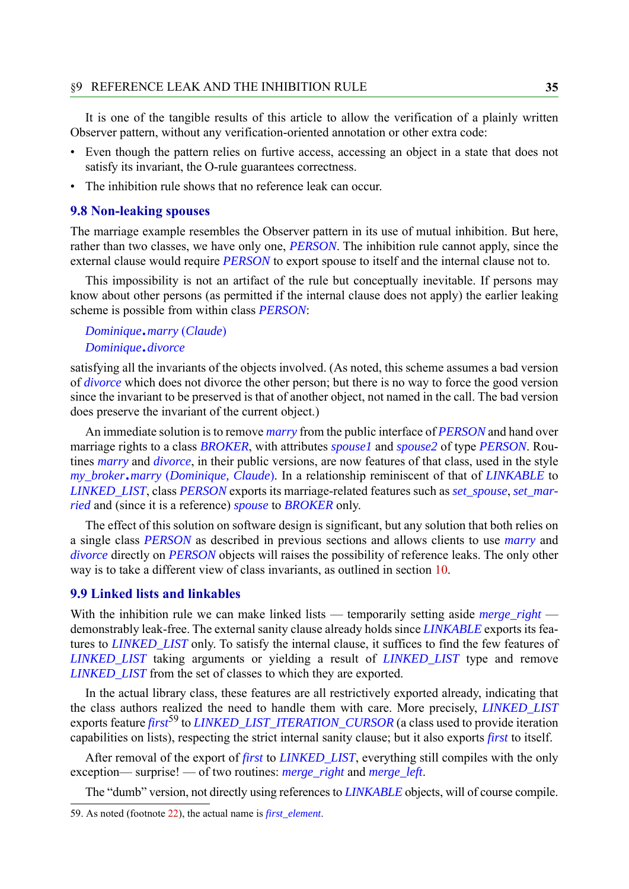It is one of the tangible results of this article to allow the verification of a plainly written Observer pattern, without any verification-oriented annotation or other extra code:

- Even though the pattern relies on furtive access, accessing an object in a state that does not satisfy its invariant, the O-rule guarantees correctness.
- The inhibition rule shows that no reference leak can occur.

#### **9.8 Non-leaking spouses**

The marriage example resembles the Observer pattern in its use of mutual inhibition. But here, rather than two classes, we have only one, *PERSON*. The inhibition rule cannot apply, since the external clause would require *PERSON* to export spouse to itself and the internal clause not to.

This impossibility is not an artifact of the rule but conceptually inevitable. If persons may know about other persons (as permitted if the internal clause does not apply) the earlier leaking scheme is possible from within class *PERSON*:

#### *Dominique*.*marry* (*Claude*) *Dominique*.*divorce*

satisfying all the invariants of the objects involved. (As noted, this scheme assumes a bad version of *divorce* which does not divorce the other person; but there is no way to force the good version since the invariant to be preserved is that of another object, not named in the call. The bad version does preserve the invariant of the current object.)

An immediate solution is to remove *marry* from the public interface of *PERSON* and hand over marriage rights to a class *BROKER*, with attributes *spouse1* and *spouse2* of type *PERSON*. Routines *marry* and *divorce*, in their public versions, are now features of that class, used in the style *my\_broker*.*marry* (*Dominique, Claude*). In a relationship reminiscent of that of *LINKABLE* to *LINKED\_LIST*, class *PERSON* exports its marriage-related features such as *set\_spouse*, *set\_married* and (since it is a reference) *spouse* to *BROKER* only.

The effect of this solution on software design is significant, but any solution that both relies on a single class *PERSON* as described in previous sections and allows clients to use *marry* and *divorce* directly on *PERSON* objects will raises the possibility of reference leaks. The only other way is to take a different view of class invariants, as outlined in section [10.](#page-36-0)

#### **9.9 Linked lists and linkables**

With the inhibition rule we can make linked lists — temporarily setting aside *merge\_right* demonstrably leak-free. The external sanity clause already holds since *LINKABLE* exports its features to *LINKED\_LIST* only. To satisfy the internal clause, it suffices to find the few features of *LINKED\_LIST* taking arguments or yielding a result of *LINKED\_LIST* type and remove *LINKED\_LIST* from the set of classes to which they are exported.

In the actual library class, these features are all restrictively exported already, indicating that the class authors realized the need to handle them with care. More precisely, *LINKED\_LIST* exports feature *first*<sup>59</sup> to *LINKED\_LIST\_ITERATION\_CURSOR* (a class used to provide iteration capabilities on lists), respecting the strict internal sanity clause; but it also exports *first* to itself.

After removal of the export of *first* to *LINKED\_LIST*, everything still compiles with the only exception— surprise! — of two routines: *merge\_right* and *merge\_left*.

The "dumb" version, not directly using references to *LINKABLE* objects, will of course compile.

<sup>59.</sup> As noted (footnote [22](#page-13-1)), the actual name is *first\_element*.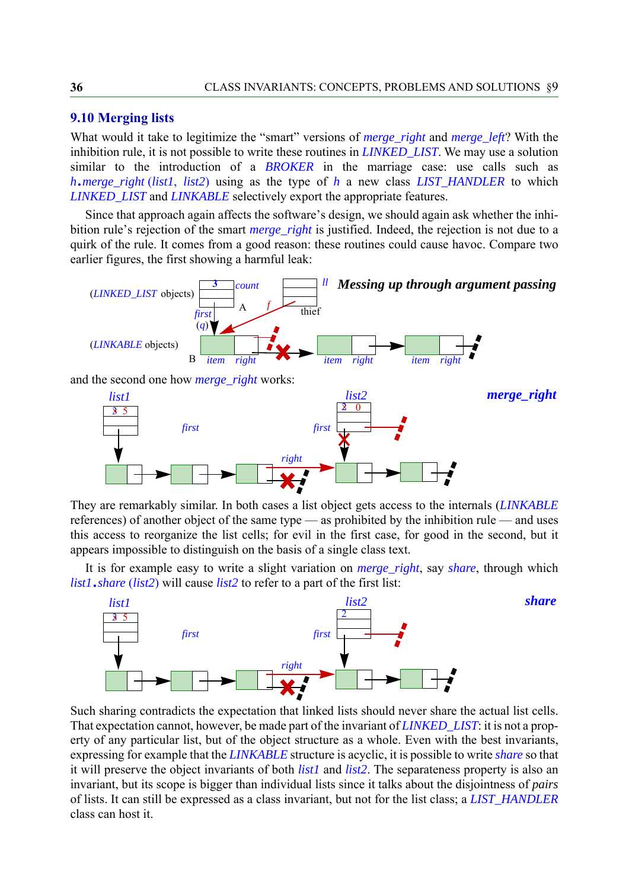#### **9.10 Merging lists**

What would it take to legitimize the "smart" versions of *merge\_right* and *merge\_left*? With the inhibition rule, it is not possible to write these routines in *LINKED\_LIST*. We may use a solution similar to the introduction of a *BROKER* in the marriage case: use calls such as *<sup>h</sup>*.*merge\_right* (*list1*, *list2*) using as the type of *h* a new class *LIST\_HANDLER* to which *LINKED\_LIST* and *LINKABLE* selectively export the appropriate features.

Since that approach again affects the software's design, we should again ask whether the inhibition rule's rejection of the smart *merge\_right* is justified. Indeed, the rejection is not due to a quirk of the rule. It comes from a good reason: these routines could cause havoc. Compare two earlier figures, the first showing a harmful leak:



They are remarkably similar. In both cases a list object gets access to the internals (*LINKABLE* references) of another object of the same type — as prohibited by the inhibition rule — and uses this access to reorganize the list cells; for evil in the first case, for good in the second, but it appears impossible to distinguish on the basis of a single class text.

It is for example easy to write a slight variation on *merge\_right*, say *share*, through which *list1*.*share* (*list2*) will cause *list2* to refer to a part of the first list:



Such sharing contradicts the expectation that linked lists should never share the actual list cells. That expectation cannot, however, be made part of the invariant of *LINKED\_LIST*: it is not a property of any particular list, but of the object structure as a whole. Even with the best invariants, expressing for example that the *LINKABLE* structure is acyclic, it is possible to write *share* so that it will preserve the object invariants of both *list1* and *list2*. The separateness property is also an invariant, but its scope is bigger than individual lists since it talks about the disjointness of *pairs* of lists. It can still be expressed as a class invariant, but not for the list class; a *LIST\_HANDLER* class can host it.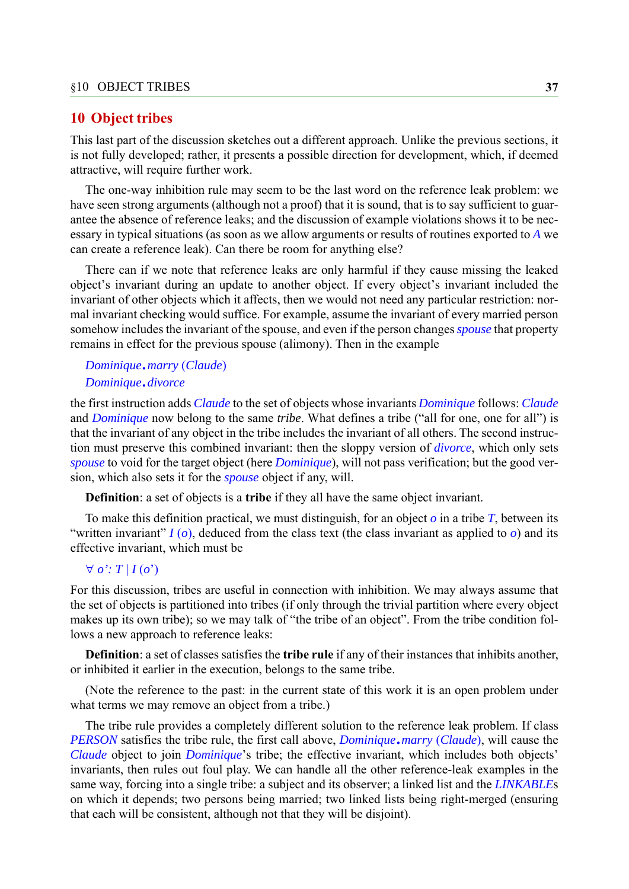#### <span id="page-36-0"></span>**10 Object tribes**

This last part of the discussion sketches out a different approach. Unlike the previous sections, it is not fully developed; rather, it presents a possible direction for development, which, if deemed attractive, will require further work.

The one-way inhibition rule may seem to be the last word on the reference leak problem: we have seen strong arguments (although not a proof) that it is sound, that is to say sufficient to guarantee the absence of reference leaks; and the discussion of example violations shows it to be necessary in typical situations (as soon as we allow arguments or results of routines exported to *A* we can create a reference leak). Can there be room for anything else?

There can if we note that reference leaks are only harmful if they cause missing the leaked object's invariant during an update to another object. If every object's invariant included the invariant of other objects which it affects, then we would not need any particular restriction: normal invariant checking would suffice. For example, assume the invariant of every married person somehow includes the invariant of the spouse, and even if the person changes *spouse* that property remains in effect for the previous spouse (alimony). Then in the example

#### *Dominique*.*marry* (*Claude*) *Dominique*.*divorce*

#### the first instruction adds *Claude* to the set of objects whose invariants *Dominique* follows: *Claude* and *Dominique* now belong to the same *tribe*. What defines a tribe ("all for one, one for all") is that the invariant of any object in the tribe includes the invariant of all others. The second instruction must preserve this combined invariant: then the sloppy version of *divorce*, which only sets *spouse* to void for the target object (here *Dominique*), will not pass verification; but the good version, which also sets it for the *spouse* object if any, will.

**Definition**: a set of objects is a **tribe** if they all have the same object invariant.

To make this definition practical, we must distinguish, for an object  $\sigma$  in a tribe  $T$ , between its "written invariant"  $I(\rho)$ , deduced from the class text (the class invariant as applied to  $\rho$ ) and its effective invariant, which must be

#### $\forall$  *o*':  $T / I(o')$

For this discussion, tribes are useful in connection with inhibition. We may always assume that the set of objects is partitioned into tribes (if only through the trivial partition where every object makes up its own tribe); so we may talk of "the tribe of an object". From the tribe condition follows a new approach to reference leaks:

**Definition**: a set of classes satisfies the **tribe rule** if any of their instances that inhibits another, or inhibited it earlier in the execution, belongs to the same tribe.

(Note the reference to the past: in the current state of this work it is an open problem under what terms we may remove an object from a tribe.)

The tribe rule provides a completely different solution to the reference leak problem. If class *PERSON* satisfies the tribe rule, the first call above, *Dominique*.*marry* (*Claude*), will cause the *Claude* object to join *Dominique*'s tribe; the effective invariant, which includes both objects' invariants, then rules out foul play. We can handle all the other reference-leak examples in the same way, forcing into a single tribe: a subject and its observer; a linked list and the *LINKABLE*s on which it depends; two persons being married; two linked lists being right-merged (ensuring that each will be consistent, although not that they will be disjoint).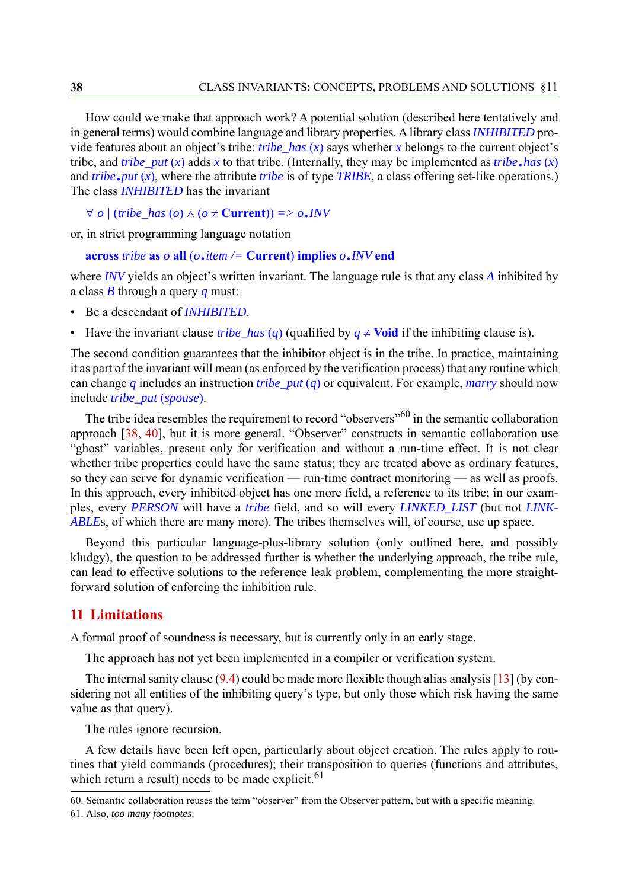How could we make that approach work? A potential solution (described here tentatively and in general terms) would combine language and library properties. A library class *INHIBITED* provide features about an object's tribe: *tribe\_has* (*x*) says whether *x* belongs to the current object's tribe, and *tribe\_put*  $(x)$  adds  $x$  to that tribe. (Internally, they may be implemented as *tribe*.*has*  $(x)$ and *tribe*.*put* (*x*), where the attribute *tribe* is of type *TRIBE*, a class offering set-like operations.) The class *INHIBITED* has the invariant

```
\forall o / (tribe_has (o) \land (o \neq Current)) = > o.INV
```
or, in strict programming language notation

```
across tribe as o all (o.item /= Current) implies o.INV end
```
where *INV* yields an object's written invariant. The language rule is that any class *A* inhibited by a class *B* through a query *q* must:

- Be a descendant of *INHIBITED*.
- Have the invariant clause *tribe\_has* (*q*) (qualified by  $q \neq$  Void if the inhibiting clause is).

The second condition guarantees that the inhibitor object is in the tribe. In practice, maintaining it as part of the invariant will mean (as enforced by the verification process) that any routine which can change *q* includes an instruction *tribe\_put* (*q*) or equivalent. For example, *marry* should now include *tribe\_put* (*spouse*).

The tribe idea resembles the requirement to record "observers"<sup>60</sup> in the semantic collaboration approach [[38,](#page-40-9) [40\]](#page-40-2), but it is more general. "Observer" constructs in semantic collaboration use "ghost" variables, present only for verification and without a run-time effect. It is not clear whether tribe properties could have the same status; they are treated above as ordinary features, so they can serve for dynamic verification — run-time contract monitoring — as well as proofs. In this approach, every inhibited object has one more field, a reference to its tribe; in our examples, every *PERSON* will have a *tribe* field, and so will every *LINKED\_LIST* (but not *LINK-ABLE*s, of which there are many more). The tribes themselves will, of course, use up space.

Beyond this particular language-plus-library solution (only outlined here, and possibly kludgy), the question to be addressed further is whether the underlying approach, the tribe rule, can lead to effective solutions to the reference leak problem, complementing the more straightforward solution of enforcing the inhibition rule.

### <span id="page-37-0"></span>**11 Limitations**

A formal proof of soundness is necessary, but is currently only in an early stage.

The approach has not yet been implemented in a compiler or verification system.

The internal sanity clause ([9.4\)](#page-31-0) could be made more flexible though alias analysis [[13\]](#page-39-17) (by considering not all entities of the inhibiting query's type, but only those which risk having the same value as that query).

The rules ignore recursion.

A few details have been left open, particularly about object creation. The rules apply to routines that yield commands (procedures); their transposition to queries (functions and attributes, which return a result) needs to be made explicit. $61$ 

<sup>60.</sup> Semantic collaboration reuses the term "observer" from the Observer pattern, but with a specific meaning. 61. Also, *too many footnotes*.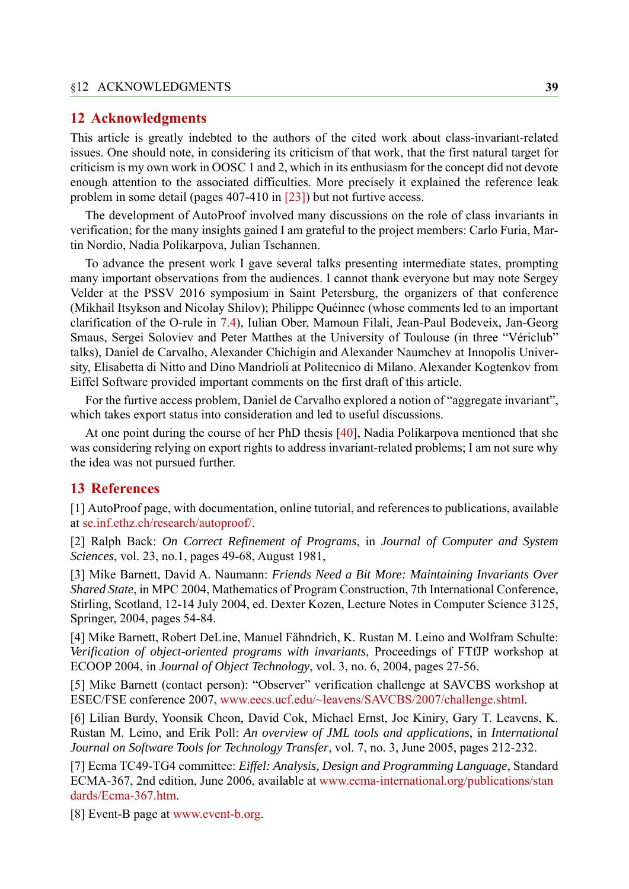#### **12 Acknowledgments**

This article is greatly indebted to the authors of the cited work about class-invariant-related issues. One should note, in considering its criticism of that work, that the first natural target for criticism is my own work in OOSC 1 and 2, which in its enthusiasm for the concept did not devote enough attention to the associated difficulties. More precisely it explained the reference leak problem in some detail (pages 407-410 in [\[23\]](#page-39-10)) but not furtive access.

The development of AutoProof involved many discussions on the role of class invariants in verification; for the many insights gained I am grateful to the project members: Carlo Furia, Martin Nordio, Nadia Polikarpova, Julian Tschannen.

To advance the present work I gave several talks presenting intermediate states, prompting many important observations from the audiences. I cannot thank everyone but may note Sergey Velder at the PSSV 2016 symposium in Saint Petersburg, the organizers of that conference (Mikhail Itsykson and Nicolay Shilov); Philippe Quéinnec (whose comments led to an important clarification of the O-rule in [7.4\)](#page-23-1), Iulian Ober, Mamoun Filali, Jean-Paul Bodeveix, Jan-Georg Smaus, Sergei Soloviev and Peter Matthes at the University of Toulouse (in three "Vériclub" talks), Daniel de Carvalho, Alexander Chichigin and Alexander Naumchev at Innopolis University, Elisabetta di Nitto and Dino Mandrioli at Politecnico di Milano. Alexander Kogtenkov from Eiffel Software provided important comments on the first draft of this article.

For the furtive access problem, Daniel de Carvalho explored a notion of "aggregate invariant", which takes export status into consideration and led to useful discussions.

At one point during the course of her PhD thesis [\[40](#page-40-2)], Nadia Polikarpova mentioned that she was considering relying on export rights to address invariant-related problems; I am not sure why the idea was not pursued further.

#### **13 References**

<span id="page-38-7"></span>[1] AutoProof page, with documentation, online tutorial, and references to publications, available at [se.inf.ethz.ch/research/autoproof/](http://se.inf.ethz.ch/research/autoproof/).

<span id="page-38-2"></span>[2] Ralph Back: *On Correct Refinement of Programs*, in *Journal of Computer and System Sciences*, vol. 23, no.1, pages 49-68, August 1981,

<span id="page-38-0"></span>[3] Mike Barnett, David A. Naumann: *Friends Need a Bit More: Maintaining Invariants Over Shared State*, in MPC 2004, Mathematics of Program Construction, 7th International Conference, Stirling, Scotland, 12-14 July 2004, ed. Dexter Kozen, Lecture Notes in Computer Science 3125, Springer, 2004, pages 54-84.

<span id="page-38-5"></span>[4] Mike Barnett, Robert DeLine, Manuel Fähndrich, K. Rustan M. Leino and Wolfram Schulte: *Verification of object-oriented programs with invariants*, Proceedings of FTfJP workshop at ECOOP 2004, in *Journal of Object Technology*, vol. 3, no. 6, 2004, pages 27-56.

<span id="page-38-4"></span>[5] Mike Barnett (contact person): "Observer" verification challenge at SAVCBS workshop at ESEC/FSE conference 2007, [www.eecs.ucf.edu/~leavens/SAVCBS/2007/challenge.shtml](http://www.eecs.ucf.edu/~leavens/SAVCBS/2007/challenge.shtml).

<span id="page-38-1"></span>[6] Lilian Burdy, Yoonsik Cheon, David Cok, Michael Ernst, Joe Kiniry, Gary T. Leavens, K. Rustan M. Leino, and Erik Poll: *An overview of JML tools and applications*, in *International Journal on Software Tools for Technology Transfer*, vol. 7, no. 3, June 2005, pages 212-232.

<span id="page-38-6"></span>[7] Ecma TC49-TG4 committee: *Eiffel: Analysis, Design and Programming Language*, Standard ECMA-367, 2nd edition, June 2006, available at [www.ecma-international.org/publications/stan](http://www.ecma-international.org/publications/standards/Ecma-367.htm) [dards/Ecma-367.htm.](http://www.ecma-international.org/publications/standards/Ecma-367.htm)

<span id="page-38-3"></span>[8] Event-B page at [www.event-b.org.](http://www.event-b.org)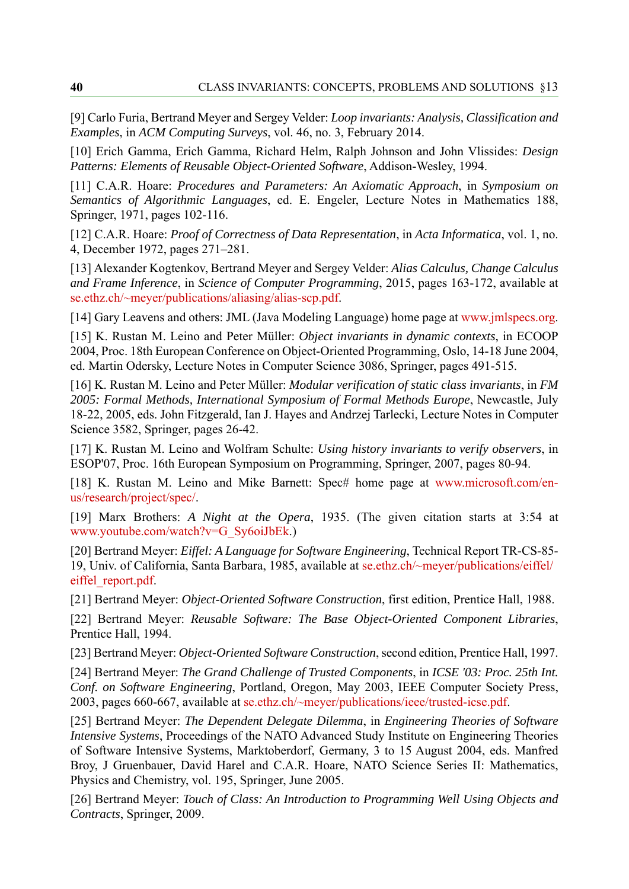<span id="page-39-5"></span>[9] Carlo Furia, Bertrand Meyer and Sergey Velder: *Loop invariants: Analysis, Classification and Examples*, in *ACM Computing Surveys*, vol. 46, no. 3, February 2014.

<span id="page-39-14"></span>[10] Erich Gamma, Erich Gamma, Richard Helm, Ralph Johnson and John Vlissides: *Design Patterns: Elements of Reusable Object-Oriented Software*, Addison-Wesley, 1994.

<span id="page-39-16"></span>[11] C.A.R. Hoare: *Procedures and Parameters: An Axiomatic Approach*, in *Symposium on Semantics of Algorithmic Languages*, ed. E. Engeler, Lecture Notes in Mathematics 188, Springer, 1971, pages 102-116.

<span id="page-39-7"></span>[12] C.A.R. Hoare: *Proof of Correctness of Data Representation*, in *Acta Informatica*, vol. 1, no. 4, December 1972, pages 271–281.

<span id="page-39-17"></span>[13] Alexander Kogtenkov, Bertrand Meyer and Sergey Velder: *Alias Calculus, Change Calculus and Frame Inference*, in *Science of Computer Programming*, 2015, pages 163-172, available at [se.ethz.ch/~meyer/publications/aliasing/alias-scp.pdf.](http://se.ethz.ch/~meyer/publications/aliasing/alias-scp.pdf)

<span id="page-39-11"></span>[14] Gary Leavens and others: JML (Java Modeling Language) home page at [www.jmlspecs.org.](http://www.jmlspecs.org)

<span id="page-39-1"></span>[15] K. Rustan M. Leino and Peter Müller: *Object invariants in dynamic contexts*, in ECOOP 2004, Proc. 18th European Conference on Object-Oriented Programming, Oslo, 14-18 June 2004, ed. Martin Odersky, Lecture Notes in Computer Science 3086, Springer, pages 491-515.

<span id="page-39-6"></span>[16] K. Rustan M. Leino and Peter Müller: *Modular verification of static class invariants*, in *FM 2005: Formal Methods, International Symposium of Formal Methods Europe*, Newcastle, July 18-22, 2005, eds. John Fitzgerald, Ian J. Hayes and Andrzej Tarlecki, Lecture Notes in Computer Science 3582, Springer, pages 26-42.

<span id="page-39-2"></span>[17] K. Rustan M. Leino and Wolfram Schulte: *Using history invariants to verify observers*, in ESOP'07, Proc. 16th European Symposium on Programming, Springer, 2007, pages 80-94.

<span id="page-39-12"></span>[18] K. Rustan M. Leino and Mike Barnett: Spec# home page at [www.microsoft.com/en](https://www.microsoft.com/en-us/research/project/spec/)[us/research/project/spec/](https://www.microsoft.com/en-us/research/project/spec/).

<span id="page-39-0"></span>[19] Marx Brothers: *A Night at the Opera*, 1935. (The given citation starts at 3:54 at [www.youtube.com/watch?v=G\\_Sy6oiJbEk.](https://www.youtube.com/watch?v=G_Sy6oiJbEk))

<span id="page-39-8"></span>[20] Bertrand Meyer: *Eiffel: A Language for Software Engineering*, Technical Report TR-CS-85- 19, Univ. of California, Santa Barbara, 1985, available at [se.ethz.ch/~meyer/publications/eiffel/](http://se.ethz.ch/~meyer/publications/eiffel/ eiffel_report.pdf) eiffel report.pdf.

<span id="page-39-9"></span>[21] Bertrand Meyer: *Object-Oriented Software Construction*, first edition, Prentice Hall, 1988.

<span id="page-39-15"></span>[22] Bertrand Meyer: *Reusable Software: The Base Object-Oriented Component Libraries*, Prentice Hall, 1994.

<span id="page-39-10"></span>[23] Bertrand Meyer: *Object-Oriented Software Construction*, second edition, Prentice Hall, 1997.

<span id="page-39-4"></span>[24] Bertrand Meyer: *The Grand Challenge of Trusted Components*, in *ICSE '03: Proc. 25th Int. Conf. on Software Engineering*, Portland, Oregon, May 2003, IEEE Computer Society Press, 2003, pages 660-667, available at [se.ethz.ch/~meyer/publications/ieee/trusted-icse.pdf](http://se.ethz.ch/~meyer/publications/ieee/trusted-icse.pdf).

<span id="page-39-3"></span>[25] Bertrand Meyer: *The Dependent Delegate Dilemma*, in *Engineering Theories of Software Intensive Systems*, Proceedings of the NATO Advanced Study Institute on Engineering Theories of Software Intensive Systems, Marktoberdorf, Germany, 3 to 15 August 2004, eds. Manfred Broy, J Gruenbauer, David Harel and C.A.R. Hoare, NATO Science Series II: Mathematics, Physics and Chemistry, vol. 195, Springer, June 2005.

<span id="page-39-13"></span>[26] Bertrand Meyer: *Touch of Class: An Introduction to Programming Well Using Objects and Contracts*, Springer, 2009.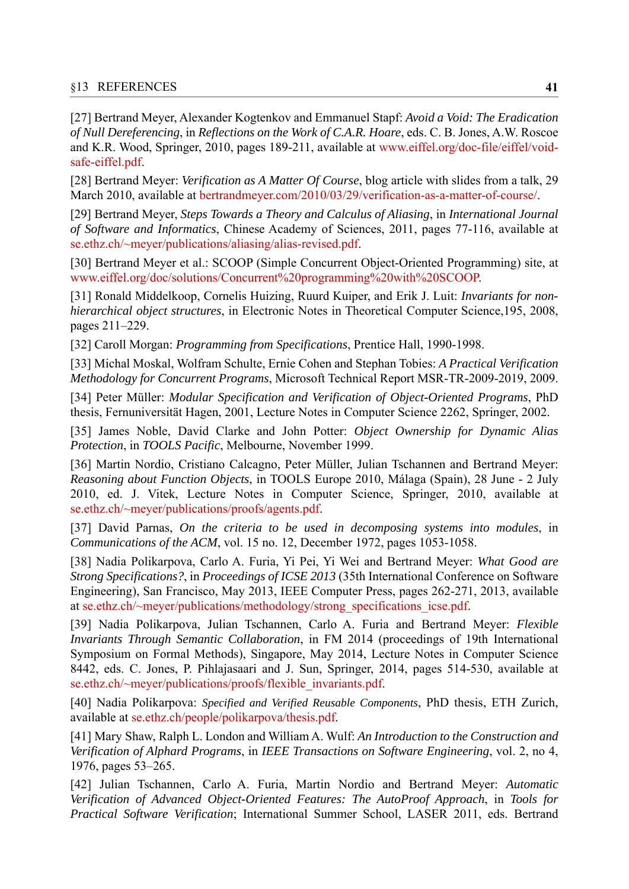<span id="page-40-8"></span>[27] Bertrand Meyer, Alexander Kogtenkov and Emmanuel Stapf: *Avoid a Void: The Eradication of Null Dereferencing*, in *Reflections on the Work of C.A.R. Hoare*, eds. C. B. Jones, A.W. Roscoe and K.R. Wood, Springer, 2010, pages 189-211, available at [www.eiffel.org/doc-file/eiffel/void](https://www.eiffel.org/doc-file/eiffel/void-safe-eiffel.pdf)[safe-eiffel.pdf.](https://www.eiffel.org/doc-file/eiffel/void-safe-eiffel.pdf)

<span id="page-40-4"></span>[28] Bertrand Meyer: *Verification as A Matter Of Course*, blog article with slides from a talk, 29 March 2010, available at [bertrandmeyer.com/2010/03/29/verification-as-a-matter-of-course/.](http://bertrandmeyer.com/2010/03/29/verification-as-a-matter-of-course/)

<span id="page-40-12"></span>[29] Bertrand Meyer, *Steps Towards a Theory and Calculus of Aliasing*, in *International Journal of Software and Informatics*, Chinese Academy of Sciences, 2011, pages 77-116, available at [se.ethz.ch/~meyer/publications/aliasing/alias-revised.pdf](http://se.ethz.ch/~meyer/publications/aliasing/alias-revised.pdf).

<span id="page-40-7"></span>[30] Bertrand Meyer et al.: SCOOP (Simple Concurrent Object-Oriented Programming) site, at [www.eiffel.org/doc/solutions/Concurrent%20programming%20with%20SCOOP](http://www.eiffel.org/doc/solutions/Concurrent%20programming%20with%20SCOOP).

<span id="page-40-3"></span>[31] Ronald Middelkoop, Cornelis Huizing, Ruurd Kuiper, and Erik J. Luit: *Invariants for nonhierarchical object structures*, in Electronic Notes in Theoretical Computer Science,195, 2008, pages 211–229.

<span id="page-40-6"></span>[32] Caroll Morgan: *Programming from Specifications*, Prentice Hall, 1990-1998.

<span id="page-40-10"></span>[33] Michal Moskal, Wolfram Schulte, Ernie Cohen and Stephan Tobies: *A Practical Verification Methodology for Concurrent Programs*, Microsoft Technical Report MSR-TR-2009-2019, 2009.

<span id="page-40-0"></span>[34] Peter Müller: *Modular Specification and Verification of Object-Oriented Programs*, PhD thesis, Fernuniversität Hagen, 2001, Lecture Notes in Computer Science 2262, Springer, 2002.

<span id="page-40-14"></span>[35] James Noble, David Clarke and John Potter: *Object Ownership for Dynamic Alias Protection*, in *TOOLS Pacific*, Melbourne, November 1999.

<span id="page-40-13"></span>[36] Martin Nordio, Cristiano Calcagno, Peter Müller, Julian Tschannen and Bertrand Meyer: *Reasoning about Function Objects*, in TOOLS Europe 2010, Málaga (Spain), 28 June - 2 July 2010, ed. J. Vitek, Lecture Notes in Computer Science, Springer, 2010, available at [se.ethz.ch/~meyer/publications/proofs/agents.pdf.](http: //se.ethz.ch/~meyer/publications/proofs/agents.pdf)

<span id="page-40-11"></span>[37] David Parnas, *On the criteria to be used in decomposing systems into modules*, in *Communications of the ACM*, vol. 15 no. 12, December 1972, pages 1053-1058.

<span id="page-40-9"></span>[38] Nadia Polikarpova, Carlo A. Furia, Yi Pei, Yi Wei and Bertrand Meyer: *What Good are Strong Specifications?*, in *Proceedings of ICSE 2013* (35th International Conference on Software Engineering), San Francisco, May 2013, IEEE Computer Press, pages 262-271, 2013, available at [se.ethz.ch/~meyer/publications/methodology/strong\\_specifications\\_icse.pdf.](http://se.ethz.ch/~meyer/publications/methodology/strong_specifications_icse.pdf)

<span id="page-40-1"></span>[39] Nadia Polikarpova, Julian Tschannen, Carlo A. Furia and Bertrand Meyer: *Flexible Invariants Through Semantic Collaboration*, in FM 2014 (proceedings of 19th International Symposium on Formal Methods), Singapore, May 2014, Lecture Notes in Computer Science 8442, eds. C. Jones, P. Pihlajasaari and J. Sun, Springer, 2014, pages 514-530, available at [se.ethz.ch/~meyer/publications/proofs/flexible\\_invariants.pdf.](http://se.ethz.ch/~meyer/publications/proofs/flexible_invariants.pdf)

<span id="page-40-2"></span>[40] Nadia Polikarpova: *Specified and Verified Reusable Components*, PhD thesis, ETH Zurich, available at [se.ethz.ch/people/polikarpova/thesis.pdf](http://se.ethz.ch/people/polikarpova/thesis.pdf).

<span id="page-40-5"></span>[41] Mary Shaw, Ralph L. London and William A. Wulf: *An Introduction to the Construction and Verification of Alphard Programs*, in *IEEE Transactions on Software Engineering*, vol. 2, no 4, 1976, pages 53–265.

[42] Julian Tschannen, Carlo A. Furia, Martin Nordio and Bertrand Meyer: *Automatic Verification of Advanced Object-Oriented Features: The AutoProof Approach*, in *Tools for Practical Software Verification*; International Summer School, LASER 2011, eds. Bertrand